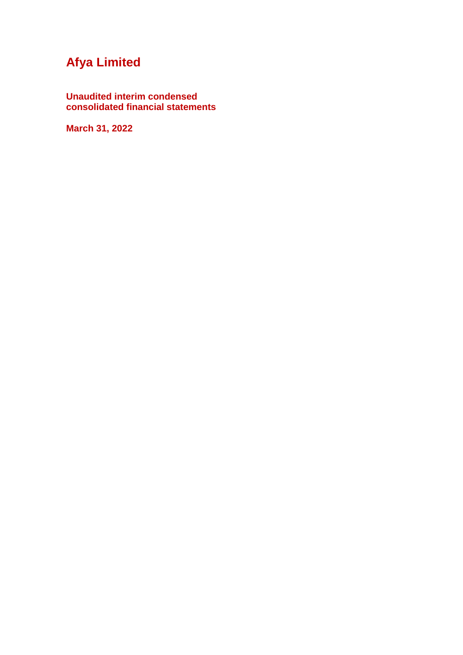**Unaudited interim condensed consolidated financial statements**

**March 31, 2022**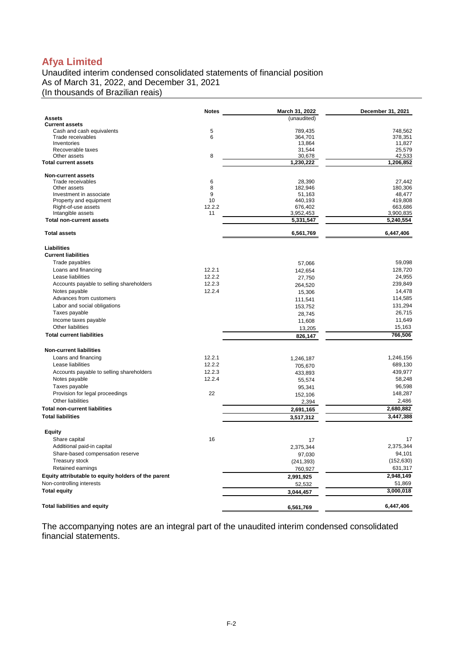Unaudited interim condensed consolidated statements of financial position As of March 31, 2022, and December 31, 2021 (In thousands of Brazilian reais)

|                                                     | <b>Notes</b> | March 31, 2022     | December 31, 2021  |
|-----------------------------------------------------|--------------|--------------------|--------------------|
| Assets                                              |              | (unaudited)        |                    |
| <b>Current assets</b>                               |              |                    |                    |
| Cash and cash equivalents<br>Trade receivables      | 5<br>6       | 789,435            | 748,562            |
| Inventories                                         |              | 364,701<br>13,864  | 378,351<br>11,827  |
| Recoverable taxes                                   |              | 31,544             | 25,579             |
| Other assets                                        | 8            | 30,678             | 42,533             |
| <b>Total current assets</b>                         |              | 1,230,222          | 1,206,852          |
| Non-current assets                                  |              |                    |                    |
| Trade receivables                                   | 6            | 28,390             | 27,442             |
| Other assets                                        | 8            | 182,946            | 180,306            |
| Investment in associate                             | 9<br>10      | 51.163             | 48,477             |
| Property and equipment<br>Right-of-use assets       | 12.2.2       | 440,193<br>676,402 | 419,808<br>663,686 |
| Intangible assets                                   | 11           | 3,952,453          | 3,900,835          |
| <b>Total non-current assets</b>                     |              | 5,331,547          | 5,240,554          |
| <b>Total assets</b>                                 |              | 6,561,769          | 6,447,406          |
| <b>Liabilities</b>                                  |              |                    |                    |
| <b>Current liabilities</b>                          |              |                    |                    |
| Trade payables                                      |              | 57,066             | 59,098             |
| Loans and financing                                 | 12.2.1       | 142,654            | 128,720            |
| Lease liabilities                                   | 12.2.2       | 27,750             | 24,955             |
| Accounts payable to selling shareholders            | 12.2.3       | 264,520            | 239,849            |
| Notes payable                                       | 12.2.4       | 15,306             | 14,478             |
| Advances from customers                             |              | 111,541            | 114,585            |
| Labor and social obligations                        |              | 153,752            | 131,294            |
| Taxes payable                                       |              | 28,745             | 26,715             |
| Income taxes payable                                |              | 11,608             | 11,649             |
| Other liabilities                                   |              | 13,205             | 15,163             |
| <b>Total current liabilities</b>                    |              | 826,147            | 766,506            |
| <b>Non-current liabilities</b>                      |              |                    |                    |
| Loans and financing                                 | 12.2.1       | 1,246,187          | 1,246,156          |
| Lease liabilities                                   | 12.2.2       | 705,670            | 689,130            |
| Accounts payable to selling shareholders            | 12.2.3       | 433,893            | 439,977            |
| Notes payable                                       | 12.2.4       | 55,574             | 58,248             |
| Taxes payable                                       |              | 95,341             | 96,598             |
| Provision for legal proceedings                     | 22           | 152,106            | 148,287            |
| Other liabilities                                   |              | 2,394              | 2,486              |
| <b>Total non-current liabilities</b>                |              | 2,691,165          | 2,680,882          |
| <b>Total liabilities</b>                            |              | 3,517,312          | 3,447,388          |
| <b>Equity</b>                                       |              |                    |                    |
| Share capital                                       | 16           | 17                 | 17                 |
| Additional paid-in capital                          |              | 2,375,344          | 2,375,344          |
| Share-based compensation reserve                    |              | 97,030             | 94,101             |
| <b>Treasury stock</b>                               |              | (241, 393)         | (152, 630)         |
| Retained earnings                                   |              | 760,927            | 631,317            |
| Equity attributable to equity holders of the parent |              | 2,991,925          | 2,948,149          |
| Non-controlling interests                           |              | 52,532             | 51,869             |
| <b>Total equity</b>                                 |              | 3,044,457          | 3,000,018          |
| <b>Total liabilities and equity</b>                 |              | 6,561,769          | 6,447,406          |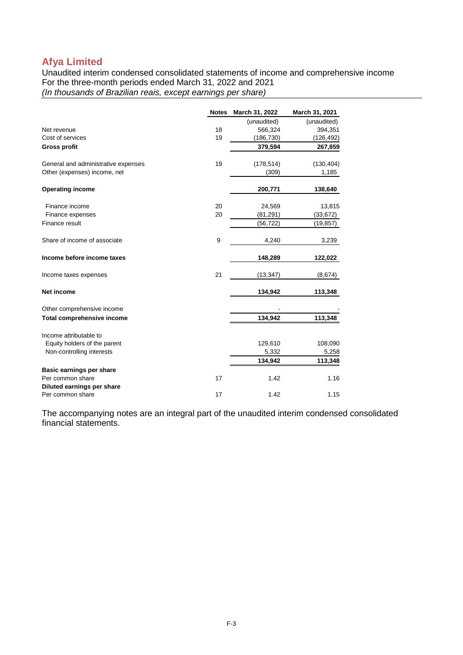Unaudited interim condensed consolidated statements of income and comprehensive income For the three-month periods ended March 31, 2022 and 2021 *(In thousands of Brazilian reais, except earnings per share)*

|                                     | <b>Notes</b> | March 31, 2022 | March 31, 2021 |
|-------------------------------------|--------------|----------------|----------------|
|                                     |              | (unaudited)    | (unaudited)    |
| Net revenue                         | 18           | 566,324        | 394,351        |
| Cost of services                    | 19           | (186, 730)     | (126, 492)     |
| <b>Gross profit</b>                 |              | 379,594        | 267,859        |
| General and administrative expenses | 19           | (178, 514)     | (130, 404)     |
| Other (expenses) income, net        |              | (309)          | 1,185          |
| <b>Operating income</b>             |              | 200,771        | 138,640        |
| Finance income                      | 20           | 24,569         | 13,815         |
| Finance expenses                    | 20           | (81, 291)      | (33,672)       |
| Finance result                      |              | (56, 722)      | (19, 857)      |
| Share of income of associate        | 9            | 4,240          | 3,239          |
| Income before income taxes          |              | 148,289        | 122,022        |
| Income taxes expenses               | 21           | (13, 347)      | (8,674)        |
| Net income                          |              | 134,942        | 113,348        |
| Other comprehensive income          |              |                |                |
| <b>Total comprehensive income</b>   |              | 134,942        | 113,348        |
| Income attributable to              |              |                |                |
| Equity holders of the parent        |              | 129,610        | 108,090        |
| Non-controlling interests           |              | 5,332          | 5,258          |
|                                     |              | 134,942        | 113,348        |
| Basic earnings per share            |              |                |                |
| Per common share                    | 17           | 1.42           | 1.16           |
| Diluted earnings per share          |              |                |                |
| Per common share                    | 17           | 1.42           | 1.15           |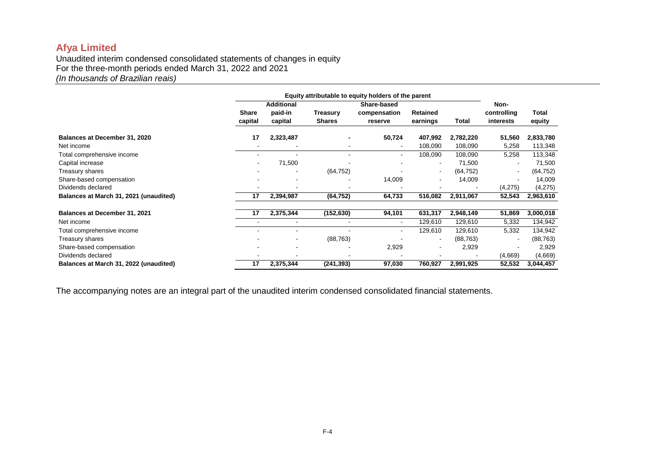Unaudited interim condensed consolidated statements of changes in equity For the three-month periods ended March 31, 2022 and 2021 *(In thousands of Brazilian reais)*

|                                        | Equity attributable to equity holders of the parent |                                         |                           |                                        |                      |           |                                  |                 |
|----------------------------------------|-----------------------------------------------------|-----------------------------------------|---------------------------|----------------------------------------|----------------------|-----------|----------------------------------|-----------------|
|                                        | Share<br>capital                                    | <b>Additional</b><br>paid-in<br>capital | Treasury<br><b>Shares</b> | Share-based<br>compensation<br>reserve | Retained<br>earnings | Total     | Non-<br>controlling<br>interests | Total<br>equity |
| Balances at December 31, 2020          | 17                                                  | 2,323,487                               |                           | 50,724                                 | 407,992              | 2,782,220 | 51,560                           | 2,833,780       |
| Net income                             |                                                     |                                         | $\overline{\phantom{a}}$  | $\sim$                                 | 108,090              | 108,090   | 5,258                            | 113,348         |
| Total comprehensive income             |                                                     |                                         |                           |                                        | 108,090              | 108,090   | 5,258                            | 113,348         |
| Capital increase                       |                                                     | 71,500                                  |                           |                                        |                      | 71,500    | $\overline{\phantom{a}}$         | 71,500          |
| Treasury shares                        |                                                     |                                         | (64, 752)                 |                                        |                      | (64, 752) | $\overline{\phantom{a}}$         | (64, 752)       |
| Share-based compensation               |                                                     |                                         |                           | 14,009                                 |                      | 14,009    |                                  | 14,009          |
| Dividends declared                     |                                                     |                                         |                           |                                        |                      |           | (4,275)                          | (4,275)         |
| Balances at March 31, 2021 (unaudited) | 17                                                  | 2,394,987                               | (64, 752)                 | 64,733                                 | 516,082              | 2,911,067 | 52,543                           | 2,963,610       |
| <b>Balances at December 31, 2021</b>   | 17                                                  | 2,375,344                               | (152, 630)                | 94,101                                 | 631,317              | 2,948,149 | 51,869                           | 3,000,018       |
| Net income                             |                                                     | $\overline{\phantom{a}}$                |                           | $\sim$                                 | 129,610              | 129,610   | 5,332                            | 134,942         |
| Total comprehensive income             |                                                     |                                         |                           |                                        | 129,610              | 129,610   | 5,332                            | 134,942         |
| Treasury shares                        |                                                     | $\blacksquare$                          | (88, 763)                 |                                        |                      | (88, 763) | $\overline{\phantom{a}}$         | (88, 763)       |
| Share-based compensation               |                                                     |                                         |                           | 2,929                                  |                      | 2,929     |                                  | 2,929           |
| Dividends declared                     |                                                     |                                         |                           |                                        |                      |           | (4,669)                          | (4,669)         |
| Balances at March 31, 2022 (unaudited) | 17                                                  | 2,375,344                               | (241,393)                 | 97,030                                 | 760,927              | 2,991,925 | 52,532                           | 3,044,457       |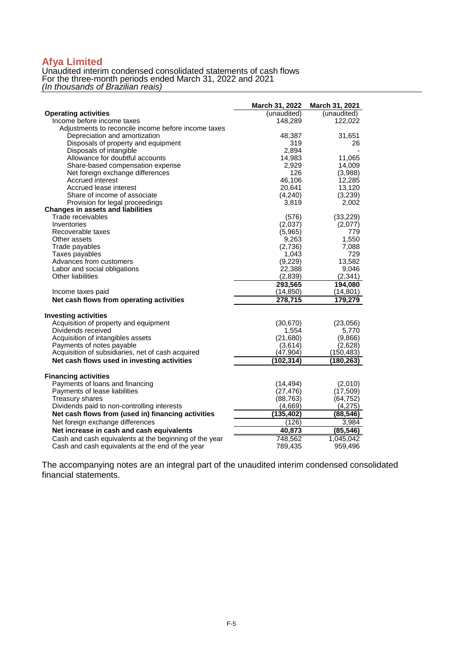Unaudited interim condensed consolidated statements of cash flows For the three-month periods ended March 31, 2022 and 2021 *(In thousands of Brazilian reais)*

|                                                        | March 31, 2022 | March 31, 2021 |
|--------------------------------------------------------|----------------|----------------|
| <b>Operating activities</b>                            | (unaudited)    | (unaudited)    |
| Income before income taxes                             | 148,289        | 122,022        |
| Adjustments to reconcile income before income taxes    |                |                |
| Depreciation and amortization                          | 48,387         | 31,651         |
| Disposals of property and equipment                    | 319            | 26             |
| Disposals of intangible                                | 2,894          |                |
| Allowance for doubtful accounts                        | 14,983         | 11,065         |
| Share-based compensation expense                       | 2,929          | 14,009         |
| Net foreign exchange differences                       | 126            | (3,988)        |
| <b>Accrued interest</b>                                | 46.106         | 12,285         |
| Accrued lease interest                                 | 20,641         | 13,120         |
| Share of income of associate                           | (4,240)        | (3,239)        |
| Provision for legal proceedings                        | 3,819          | 2,002          |
| <b>Changes in assets and liabilities</b>               |                |                |
| Trade receivables                                      | (576)          | (33, 229)      |
| Inventories                                            | (2,037)        | (2,077)        |
| Recoverable taxes                                      | (5,965)        | 779            |
| Other assets                                           | 9,263          | 1,550          |
| Trade payables                                         | (2,736)        | 7,088          |
| Taxes payables                                         | 1,043          | 729            |
| Advances from customers                                | (9,229)        | 13,582         |
| Labor and social obligations                           | 22,388         | 9,046          |
| Other liabilities                                      | (2, 839)       | (2, 341)       |
|                                                        | 293,565        | 194,080        |
| Income taxes paid                                      | (14, 850)      | (14, 801)      |
| Net cash flows from operating activities               | 278,715        | 179,279        |
| <b>Investing activities</b>                            |                |                |
| Acquisition of property and equipment                  | (30, 670)      | (23,056)       |
| Dividends received                                     | 1,554          | 5,770          |
| Acquisition of intangibles assets                      | (21, 680)      | (9,866)        |
| Payments of notes payable                              | (3,614)        | (2,628)        |
| Acquisition of subsidiaries, net of cash acquired      | (47, 904)      | (150, 483)     |
| Net cash flows used in investing activities            | (102, 314)     | (180, 263)     |
| <b>Financing activities</b>                            |                |                |
| Payments of loans and financing                        | (14, 494)      | (2,010)        |
| Payments of lease liabilities                          | (27, 476)      | (17, 509)      |
| <b>Treasury shares</b>                                 | (88, 763)      | (64, 752)      |
| Dividends paid to non-controlling interests            | (4,669)        | (4,275)        |
| Net cash flows from (used in) financing activities     | (135, 402)     | (88, 546)      |
| Net foreign exchange differences                       | (126)          | 3,984          |
| Net increase in cash and cash equivalents              | 40,873         | (85, 546)      |
| Cash and cash equivalents at the beginning of the year | 748,562        | 1,045,042      |
| Cash and cash equivalents at the end of the year       | 789,435        | 959.496        |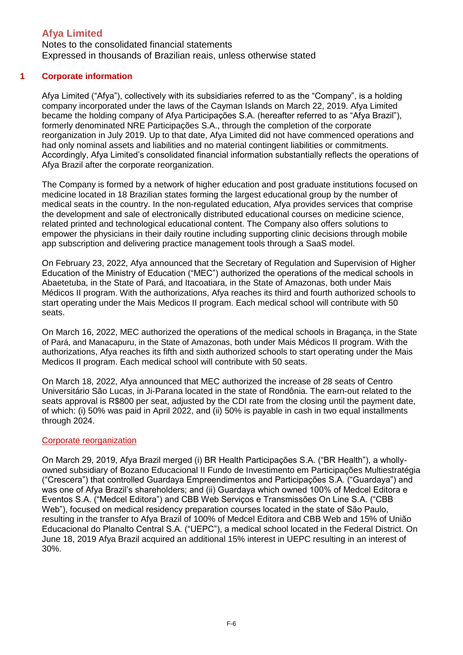Notes to the consolidated financial statements Expressed in thousands of Brazilian reais, unless otherwise stated

### **1 Corporate information**

Afya Limited ("Afya"), collectively with its subsidiaries referred to as the "Company", is a holding company incorporated under the laws of the Cayman Islands on March 22, 2019. Afya Limited became the holding company of Afya Participações S.A. (hereafter referred to as "Afya Brazil"), formerly denominated NRE Participações S.A., through the completion of the corporate reorganization in July 2019. Up to that date, Afya Limited did not have commenced operations and had only nominal assets and liabilities and no material contingent liabilities or commitments. Accordingly, Afya Limited's consolidated financial information substantially reflects the operations of Afya Brazil after the corporate reorganization.

The Company is formed by a network of higher education and post graduate institutions focused on medicine located in 18 Brazilian states forming the largest educational group by the number of medical seats in the country. In the non-regulated education, Afya provides services that comprise the development and sale of electronically distributed educational courses on medicine science, related printed and technological educational content. The Company also offers solutions to empower the physicians in their daily routine including supporting clinic decisions through mobile app subscription and delivering practice management tools through a SaaS model.

On February 23, 2022, Afya announced that the Secretary of Regulation and Supervision of Higher Education of the Ministry of Education ("MEC") authorized the operations of the medical schools in Abaetetuba, in the State of Pará, and Itacoatiara, in the State of Amazonas, both under Mais Médicos II program. With the authorizations, Afya reaches its third and fourth authorized schools to start operating under the Mais Medicos II program. Each medical school will contribute with 50 seats.

On March 16, 2022, MEC authorized the operations of the medical schools in Bragança, in the State of Pará, and Manacapuru, in the State of Amazonas, both under Mais Médicos II program. With the authorizations, Afya reaches its fifth and sixth authorized schools to start operating under the Mais Medicos II program. Each medical school will contribute with 50 seats.

On March 18, 2022, Afya announced that MEC authorized the increase of 28 seats of Centro Universitário São Lucas, in Ji-Parana located in the state of Rondônia. The earn-out related to the seats approval is R\$800 per seat, adjusted by the CDI rate from the closing until the payment date, of which: (i) 50% was paid in April 2022, and (ii) 50% is payable in cash in two equal installments through 2024.

#### Corporate reorganization

On March 29, 2019, Afya Brazil merged (i) BR Health Participações S.A. ("BR Health"), a whollyowned subsidiary of Bozano Educacional II Fundo de Investimento em Participações Multiestratégia ("Crescera") that controlled Guardaya Empreendimentos and Participações S.A. ("Guardaya") and was one of Afya Brazil's shareholders; and (ii) Guardaya which owned 100% of Medcel Editora e Eventos S.A. ("Medcel Editora") and CBB Web Serviços e Transmissões On Line S.A. ("CBB Web"), focused on medical residency preparation courses located in the state of São Paulo, resulting in the transfer to Afya Brazil of 100% of Medcel Editora and CBB Web and 15% of União Educacional do Planalto Central S.A. ("UEPC"), a medical school located in the Federal District. On June 18, 2019 Afya Brazil acquired an additional 15% interest in UEPC resulting in an interest of 30%.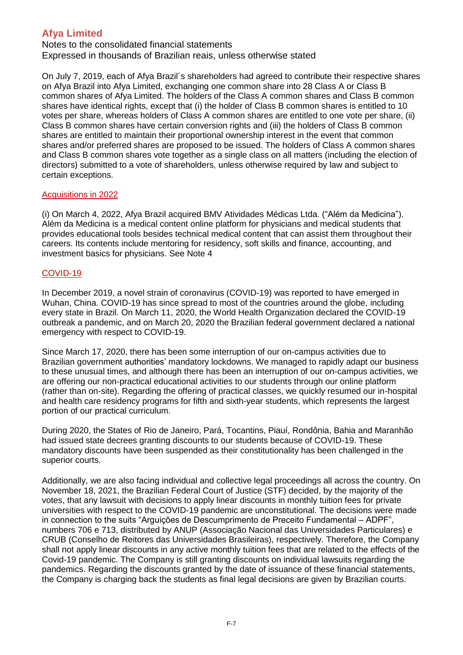Notes to the consolidated financial statements Expressed in thousands of Brazilian reais, unless otherwise stated

On July 7, 2019, each of Afya Brazil´s shareholders had agreed to contribute their respective shares on Afya Brazil into Afya Limited, exchanging one common share into 28 Class A or Class B common shares of Afya Limited. The holders of the Class A common shares and Class B common shares have identical rights, except that (i) the holder of Class B common shares is entitled to 10 votes per share, whereas holders of Class A common shares are entitled to one vote per share, (ii) Class B common shares have certain conversion rights and (iii) the holders of Class B common shares are entitled to maintain their proportional ownership interest in the event that common shares and/or preferred shares are proposed to be issued. The holders of Class A common shares and Class B common shares vote together as a single class on all matters (including the election of directors) submitted to a vote of shareholders, unless otherwise required by law and subject to certain exceptions.

### Acquisitions in 2022

(i) On March 4, 2022, Afya Brazil acquired BMV Atividades Médicas Ltda. ("Além da Medicina"). Além da Medicina is a medical content online platform for physicians and medical students that provides educational tools besides technical medical content that can assist them throughout their careers. Its contents include mentoring for residency, soft skills and finance, accounting, and investment basics for physicians. See Note 4

### COVID-19

In December 2019, a novel strain of coronavirus (COVID-19) was reported to have emerged in Wuhan, China. COVID-19 has since spread to most of the countries around the globe, including every state in Brazil. On March 11, 2020, the World Health Organization declared the COVID-19 outbreak a pandemic, and on March 20, 2020 the Brazilian federal government declared a national emergency with respect to COVID-19.

Since March 17, 2020, there has been some interruption of our on-campus activities due to Brazilian government authorities' mandatory lockdowns. We managed to rapidly adapt our business to these unusual times, and although there has been an interruption of our on-campus activities, we are offering our non-practical educational activities to our students through our online platform (rather than on-site). Regarding the offering of practical classes, we quickly resumed our in-hospital and health care residency programs for fifth and sixth-year students, which represents the largest portion of our practical curriculum.

During 2020, the States of Rio de Janeiro, Pará, Tocantins, Piauí, Rondônia, Bahia and Maranhão had issued state decrees granting discounts to our students because of COVID-19. These mandatory discounts have been suspended as their constitutionality has been challenged in the superior courts.

Additionally, we are also facing individual and collective legal proceedings all across the country. On November 18, 2021, the Brazilian Federal Court of Justice (STF) decided, by the majority of the votes, that any lawsuit with decisions to apply linear discounts in monthly tuition fees for private universities with respect to the COVID-19 pandemic are unconstitutional. The decisions were made in connection to the suits "Arguições de Descumprimento de Preceito Fundamental – ADPF", numbers 706 e 713, distributed by ANUP (Associação Nacional das Universidades Particulares) e CRUB (Conselho de Reitores das Universidades Brasileiras), respectively. Therefore, the Company shall not apply linear discounts in any active monthly tuition fees that are related to the effects of the Covid-19 pandemic. The Company is still granting discounts on individual lawsuits regarding the pandemics. Regarding the discounts granted by the date of issuance of these financial statements, the Company is charging back the students as final legal decisions are given by Brazilian courts.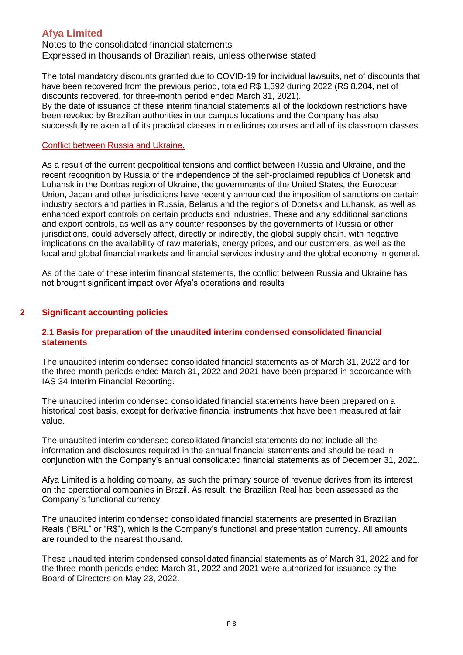Notes to the consolidated financial statements Expressed in thousands of Brazilian reais, unless otherwise stated

The total mandatory discounts granted due to COVID-19 for individual lawsuits, net of discounts that have been recovered from the previous period, totaled R\$ 1,392 during 2022 (R\$ 8,204, net of discounts recovered, for three-month period ended March 31, 2021).

By the date of issuance of these interim financial statements all of the lockdown restrictions have been revoked by Brazilian authorities in our campus locations and the Company has also successfully retaken all of its practical classes in medicines courses and all of its classroom classes.

#### Conflict between Russia and Ukraine.

As a result of the current geopolitical tensions and conflict between Russia and Ukraine, and the recent recognition by Russia of the independence of the self-proclaimed republics of Donetsk and Luhansk in the Donbas region of Ukraine, the governments of the United States, the European Union, Japan and other jurisdictions have recently announced the imposition of sanctions on certain industry sectors and parties in Russia, Belarus and the regions of Donetsk and Luhansk, as well as enhanced export controls on certain products and industries. These and any additional sanctions and export controls, as well as any counter responses by the governments of Russia or other jurisdictions, could adversely affect, directly or indirectly, the global supply chain, with negative implications on the availability of raw materials, energy prices, and our customers, as well as the local and global financial markets and financial services industry and the global economy in general.

As of the date of these interim financial statements, the conflict between Russia and Ukraine has not brought significant impact over Afya's operations and results

### **2 Significant accounting policies**

#### **2.1 Basis for preparation of the unaudited interim condensed consolidated financial statements**

The unaudited interim condensed consolidated financial statements as of March 31, 2022 and for the three-month periods ended March 31, 2022 and 2021 have been prepared in accordance with IAS 34 Interim Financial Reporting.

The unaudited interim condensed consolidated financial statements have been prepared on a historical cost basis, except for derivative financial instruments that have been measured at fair value.

The unaudited interim condensed consolidated financial statements do not include all the information and disclosures required in the annual financial statements and should be read in conjunction with the Company's annual consolidated financial statements as of December 31, 2021.

Afya Limited is a holding company, as such the primary source of revenue derives from its interest on the operational companies in Brazil. As result, the Brazilian Real has been assessed as the Company`s functional currency.

The unaudited interim condensed consolidated financial statements are presented in Brazilian Reais ("BRL" or "R\$"), which is the Company's functional and presentation currency. All amounts are rounded to the nearest thousand.

These unaudited interim condensed consolidated financial statements as of March 31, 2022 and for the three-month periods ended March 31, 2022 and 2021 were authorized for issuance by the Board of Directors on May 23, 2022.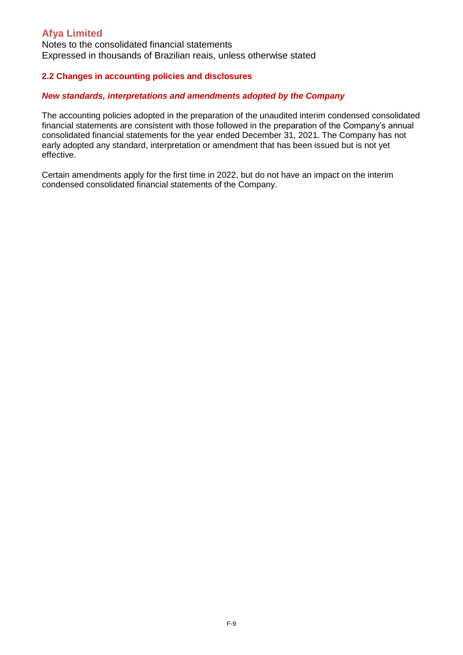Notes to the consolidated financial statements Expressed in thousands of Brazilian reais, unless otherwise stated

### **2.2 Changes in accounting policies and disclosures**

#### *New standards, interpretations and amendments adopted by the Company*

The accounting policies adopted in the preparation of the unaudited interim condensed consolidated financial statements are consistent with those followed in the preparation of the Company's annual consolidated financial statements for the year ended December 31, 2021. The Company has not early adopted any standard, interpretation or amendment that has been issued but is not yet effective.

Certain amendments apply for the first time in 2022, but do not have an impact on the interim condensed consolidated financial statements of the Company.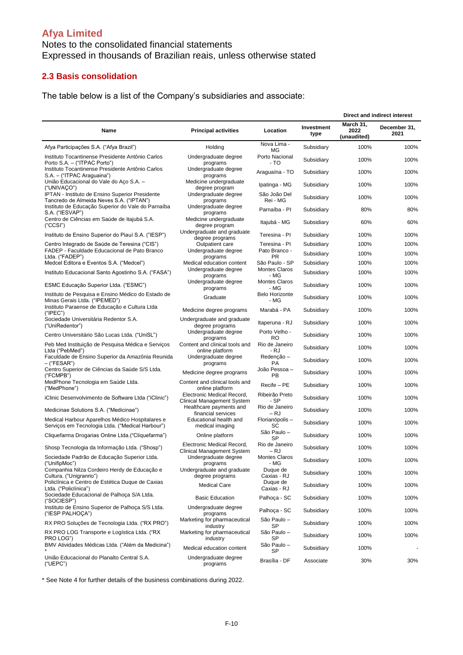### Notes to the consolidated financial statements Expressed in thousands of Brazilian reais, unless otherwise stated

### **2.3 Basis consolidation**

The table below is a list of the Company's subsidiaries and associate:

|                                                                                                     |                                                                 |                               |                    |                                  | Direct and indirect interest |
|-----------------------------------------------------------------------------------------------------|-----------------------------------------------------------------|-------------------------------|--------------------|----------------------------------|------------------------------|
| Name                                                                                                | <b>Principal activities</b>                                     | Location                      | Investment<br>type | March 31.<br>2022<br>(unaudited) | December 31,<br>2021         |
| Afya Participações S.A. ("Afya Brazil")                                                             | Holding                                                         | Nova Lima -<br>МG             | Subsidiary         | 100%                             | 100%                         |
| Instituto Tocantinense Presidente Antônio Carlos<br>Porto S.A. - ("ITPAC Porto")                    | Undergraduate degree<br>programs                                | Porto Nacional<br>- TO        | Subsidiary         | 100%                             | 100%                         |
| Instituto Tocantinense Presidente Antônio Carlos<br>S.A. - ("ITPAC Araguaina")                      | Undergraduate degree<br>programs                                | Araguaína - TO                | Subsidiary         | 100%                             | 100%                         |
| União Educacional do Vale do Aço S.A. -<br>("UNIVAÇO")                                              | Medicine undergraduate<br>degree program                        | Ipatinga - MG                 | Subsidiary         | 100%                             | 100%                         |
| IPTAN - Instituto de Ensino Superior Presidente<br>Tancredo de Almeida Neves S.A. ("IPTAN")         | Undergraduate degree<br>programs                                | São João Del<br>Rei - MG      | Subsidiary         | 100%                             | 100%                         |
| Instituto de Educação Superior do Vale do Parnaíba<br>S.A. ("IESVAP")                               | Undergraduate degree<br>programs                                | Parnaíba - Pl                 | Subsidiary         | 80%                              | 80%                          |
| Centro de Ciências em Saúde de Itajubá S.A.<br>$($ "CCSI" $)$                                       | Medicine undergraduate<br>degree program                        | Itajubá - MG                  | Subsidiary         | 60%                              | 60%                          |
| Instituto de Ensino Superior do Piauí S.A. ("IESP")                                                 | Undergraduate and graduate<br>degree programs                   | Teresina - PI                 | Subsidiary         | 100%                             | 100%                         |
| Centro Integrado de Saúde de Teresina ("CIS")                                                       | Outpatient care                                                 | Teresina - PI                 | Subsidiary         | 100%                             | 100%                         |
| FADEP - Faculdade Educacional de Pato Branco<br>Ltda. ("FADEP")                                     | Undergraduate degree<br>programs                                | Pato Branco -<br><b>PR</b>    | Subsidiary         | 100%                             | 100%                         |
| Medcel Editora e Eventos S.A. ("Medcel")                                                            | Medical education content                                       | São Paulo - SP                | Subsidiary         | 100%                             | 100%                         |
| Instituto Educacional Santo Agostinho S.A. ("FASA")                                                 | Undergraduate degree                                            | <b>Montes Claros</b>          | Subsidiary         | 100%                             | 100%                         |
|                                                                                                     | programs<br>Undergraduate degree                                | - MG<br>Montes Claros         |                    |                                  |                              |
| ESMC Educação Superior Ltda. ("ESMC")<br>Instituto de Pesquisa e Ensino Médico do Estado de         | programs                                                        | - MG<br><b>Belo Horizonte</b> | Subsidiary         | 100%                             | 100%                         |
| Minas Gerais Ltda. ("IPEMED")                                                                       | Graduate                                                        | - MG                          | Subsidiary         | 100%                             | 100%                         |
| Instituto Paraense de Educação e Cultura Ltda<br>("IPEC")                                           | Medicine degree programs                                        | Marabá - PA                   | Subsidiary         | 100%                             | 100%                         |
| Sociedade Universitária Redentor S.A.<br>("UniRedentor")                                            | Undergraduate and graduate<br>degree programs                   | Itaperuna - RJ                | Subsidiary         | 100%                             | 100%                         |
| Centro Universitário São Lucas Ltda. ("UniSL")                                                      | Undergraduate degree<br>programs                                | Porto Velho -<br><b>RO</b>    | Subsidiary         | 100%                             | 100%                         |
| Peb Med Instituição de Pesquisa Médica e Serviços<br>Ltda ("PebMed")                                | Content and clinical tools and<br>online platform               | Rio de Janeiro<br>- RJ        | Subsidiary         | 100%                             | 100%                         |
| Faculdade de Ensino Superior da Amazônia Reunida<br>– ("FESAR")                                     | Undergraduate degree<br>programs                                | Redenção -<br><b>PA</b>       | Subsidiary         | 100%                             | 100%                         |
| Centro Superior de Ciências da Saúde S/S Ltda.<br>("FCMPB")                                         | Medicine degree programs                                        | João Pessoa -<br>PB           | Subsidiary         | 100%                             | 100%                         |
| MedPhone Tecnologia em Saúde Ltda.<br>("MedPhone")                                                  | Content and clinical tools and<br>online platform               | Recife - PE                   | Subsidiary         | 100%                             | 100%                         |
| iClinic Desenvolvimento de Software Ltda ("iClinic")                                                | Electronic Medical Record,<br>Clinical Management System        | Ribeirão Preto<br>- SP        | Subsidiary         | 100%                             | 100%                         |
| Medicinae Solutions S.A. ("Medicinae")                                                              | Healthcare payments and<br>financial services                   | Rio de Janeiro<br>– RJ        | Subsidiary         | 100%                             | 100%                         |
| Medical Harbour Aparelhos Médico Hospitalares e<br>Servicos em Tecnologia Ltda. ("Medical Harbour") | Educational health and<br>medical imaging                       | Florianópolis -<br>SC         | Subsidiary         | 100%                             | 100%                         |
| Cliquefarma Drogarias Online Ltda. ("Cliquefarma")                                                  | Online platform                                                 | São Paulo -<br>SP             | Subsidiary         | 100%                             | 100%                         |
| Shosp Tecnologia da Informação Ltda. ("Shosp")                                                      | Electronic Medical Record,<br><b>Clinical Management System</b> | Rio de Janeiro<br>– RJ        | Subsidiary         | 100%                             | 100%                         |
| Sociedade Padrão de Educação Superior Ltda.<br>("UnitipMoc")                                        | Undergraduate degree<br>programs                                | <b>Montes Claros</b><br>- MG  | Subsidiary         | 100%                             | 100%                         |
| Companhia Nilza Cordeiro Herdy de Educação e<br>Cultura. ("Unigranrio")                             | Undergraduate and graduate<br>degree programs                   | Duque de<br>Caxias - RJ       | Subsidiary         | 100%                             | 100%                         |
| Policlínica e Centro de Estética Duque de Caxias<br>Ltda. ("Policlínica")                           | <b>Medical Care</b>                                             | Duque de<br>Caxias - RJ       | Subsidiary         | 100%                             | 100%                         |
| Sociedade Educacional de Palhoça S/A Ltda.<br>("SOCIESP")                                           | <b>Basic Education</b>                                          | Palhoça - SC                  | Subsidiary         | 100%                             | 100%                         |
| Instituto de Ensino Superior de Palhoça S/S Ltda.<br>("IESP PALHOÇA")                               | Undergraduate degree<br>programs                                | Palhoça - SC                  | Subsidiary         | 100%                             | 100%                         |
| RX PRO Soluções de Tecnologia Ltda. ("RX PRO")                                                      | Marketing for pharmaceutical<br>industry                        | São Paulo –<br>SP             | Subsidiary         | 100%                             | 100%                         |
| RX PRO LOG Transporte e Logística Ltda. ("RX<br>PRO LOG")                                           | Marketing for pharmaceutical<br>industry                        | São Paulo –<br>SP             | Subsidiary         | 100%                             | 100%                         |
| BMV Atividades Médicas Ltda. ("Além da Medicina")                                                   | Medical education content                                       | São Paulo -<br>SP             | Subsidiary         | 100%                             |                              |
| União Educacional do Planalto Central S.A.<br>("UEPC")                                              | Undergraduate degree<br>programs                                | Brasília - DF                 | Associate          | 30%                              | 30%                          |

\* See Note 4 for further details of the business combinations during 2022.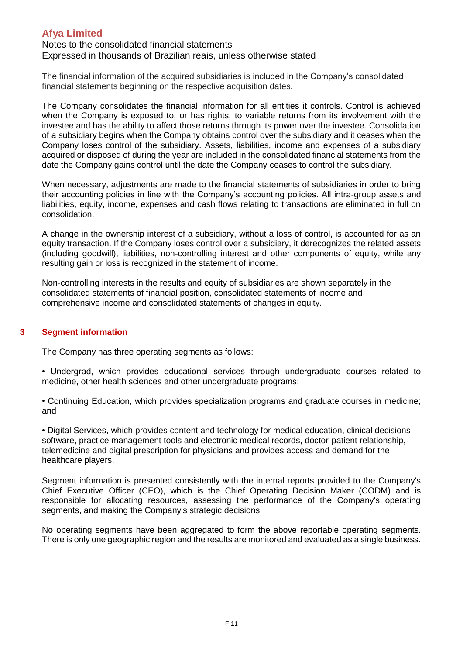### Notes to the consolidated financial statements Expressed in thousands of Brazilian reais, unless otherwise stated

The financial information of the acquired subsidiaries is included in the Company's consolidated financial statements beginning on the respective acquisition dates.

The Company consolidates the financial information for all entities it controls. Control is achieved when the Company is exposed to, or has rights, to variable returns from its involvement with the investee and has the ability to affect those returns through its power over the investee. Consolidation of a subsidiary begins when the Company obtains control over the subsidiary and it ceases when the Company loses control of the subsidiary. Assets, liabilities, income and expenses of a subsidiary acquired or disposed of during the year are included in the consolidated financial statements from the date the Company gains control until the date the Company ceases to control the subsidiary.

When necessary, adjustments are made to the financial statements of subsidiaries in order to bring their accounting policies in line with the Company's accounting policies. All intra-group assets and liabilities, equity, income, expenses and cash flows relating to transactions are eliminated in full on consolidation.

A change in the ownership interest of a subsidiary, without a loss of control, is accounted for as an equity transaction. If the Company loses control over a subsidiary, it derecognizes the related assets (including goodwill), liabilities, non-controlling interest and other components of equity, while any resulting gain or loss is recognized in the statement of income.

Non-controlling interests in the results and equity of subsidiaries are shown separately in the consolidated statements of financial position, consolidated statements of income and comprehensive income and consolidated statements of changes in equity.

### **3 Segment information**

The Company has three operating segments as follows:

• Undergrad, which provides educational services through undergraduate courses related to medicine, other health sciences and other undergraduate programs;

• Continuing Education, which provides specialization programs and graduate courses in medicine; and

• Digital Services, which provides content and technology for medical education, clinical decisions software, practice management tools and electronic medical records, doctor-patient relationship, telemedicine and digital prescription for physicians and provides access and demand for the healthcare players.

Segment information is presented consistently with the internal reports provided to the Company's Chief Executive Officer (CEO), which is the Chief Operating Decision Maker (CODM) and is responsible for allocating resources, assessing the performance of the Company's operating segments, and making the Company's strategic decisions.

No operating segments have been aggregated to form the above reportable operating segments. There is only one geographic region and the results are monitored and evaluated as a single business.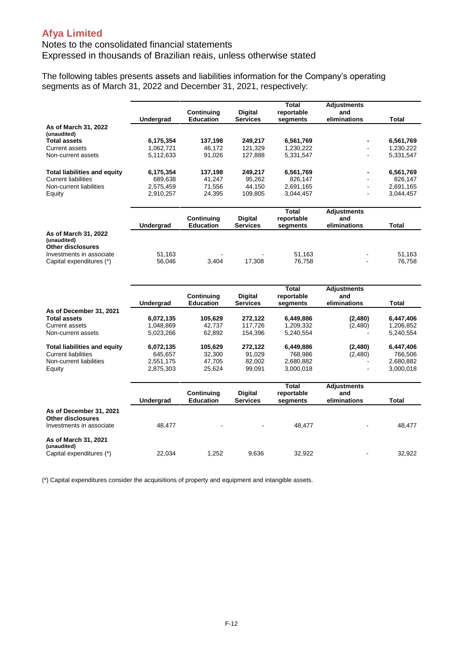### Notes to the consolidated financial statements Expressed in thousands of Brazilian reais, unless otherwise stated

The following tables presents assets and liabilities information for the Company's operating segments as of March 31, 2022 and December 31, 2021, respectively:

|                                                                 |           |                                |                            | <b>Total</b>           | <b>Adjustments</b>        |              |
|-----------------------------------------------------------------|-----------|--------------------------------|----------------------------|------------------------|---------------------------|--------------|
|                                                                 |           | Continuing                     | <b>Digital</b>             | reportable             | and                       |              |
|                                                                 | Undergrad | <b>Education</b>               | <b>Services</b>            | segments               | eliminations              | Total        |
| As of March 31, 2022<br>(unaudited)                             |           |                                |                            |                        |                           |              |
| <b>Total assets</b>                                             | 6,175,354 | 137,198                        | 249,217                    | 6,561,769              |                           | 6,561,769    |
| <b>Current assets</b>                                           | 1,062,721 | 46,172                         | 121,329                    | 1,230,222              |                           | 1,230,222    |
| Non-current assets                                              | 5,112,633 | 91,026                         | 127,888                    | 5,331,547              |                           | 5,331,547    |
| <b>Total liabilities and equity</b>                             | 6,175,354 | 137,198                        | 249,217                    | 6,561,769              |                           | 6,561,769    |
| <b>Current liabilities</b>                                      | 689.638   | 41,247                         | 95.262                     | 826,147                |                           | 826,147      |
| Non-current liabilities                                         | 2,575,459 | 71,556                         | 44,150                     | 2,691,165              |                           | 2,691,165    |
| Equity                                                          | 2,910,257 | 24,395                         | 109,805                    | 3,044,457              |                           | 3,044,457    |
|                                                                 |           | Continuing                     | Digital                    | <b>Total</b>           | <b>Adjustments</b><br>and |              |
|                                                                 | Undergrad | <b>Education</b>               | <b>Services</b>            | reportable<br>segments | eliminations              | <b>Total</b> |
| As of March 31, 2022                                            |           |                                |                            |                        |                           |              |
| (unaudited)<br><b>Other disclosures</b>                         |           |                                |                            |                        |                           |              |
| Investments in associate                                        | 51,163    |                                |                            | 51,163                 |                           | 51.163       |
| Capital expenditures (*)                                        | 56,046    | 3,404                          | 17,308                     | 76,758                 |                           | 76,758       |
|                                                                 |           |                                |                            |                        |                           |              |
|                                                                 |           |                                |                            |                        |                           |              |
|                                                                 |           |                                |                            | <b>Total</b>           | <b>Adjustments</b>        |              |
|                                                                 | Undergrad | Continuing<br><b>Education</b> | Digital<br><b>Services</b> | reportable<br>segments | and<br>eliminations       | Total        |
| As of December 31, 2021                                         |           |                                |                            |                        |                           |              |
| <b>Total assets</b>                                             | 6,072,135 | 105,629                        | 272,122                    | 6,449,886              | (2,480)                   | 6,447,406    |
| Current assets                                                  | 1,048,869 | 42,737                         | 117,726                    | 1,209,332              | (2,480)                   | 1,206,852    |
| Non-current assets                                              | 5,023,266 | 62,892                         | 154,396                    | 5,240,554              |                           | 5,240,554    |
| <b>Total liabilities and equity</b>                             | 6,072,135 | 105,629                        | 272,122                    | 6,449,886              | (2,480)                   | 6,447,406    |
| <b>Current liabilities</b>                                      | 645,657   | 32,300                         | 91,029                     | 768,986                | (2,480)                   | 766,506      |
| Non-current liabilities                                         | 2,551,175 | 47,705                         | 82,002                     | 2,680,882              |                           | 2,680,882    |
| Equity                                                          | 2,875,303 | 25,624                         | 99,091                     | 3,000,018              |                           | 3,000,018    |
|                                                                 |           |                                |                            | <b>Total</b>           | <b>Adjustments</b>        |              |
|                                                                 |           | Continuing                     | Digital                    | reportable             | and                       |              |
|                                                                 | Undergrad | Education                      | <b>Services</b>            | segments               | eliminations              | Total        |
| As of December 31, 2021<br><b>Other disclosures</b>             |           |                                |                            |                        |                           |              |
| Investments in associate                                        | 48,477    |                                |                            | 48,477                 |                           | 48,477       |
| As of March 31, 2021<br>(unaudited)<br>Capital expenditures (*) | 22,034    | 1,252                          | 9.636                      | 32,922                 |                           | 32,922       |

(\*) Capital expenditures consider the acquisitions of property and equipment and intangible assets.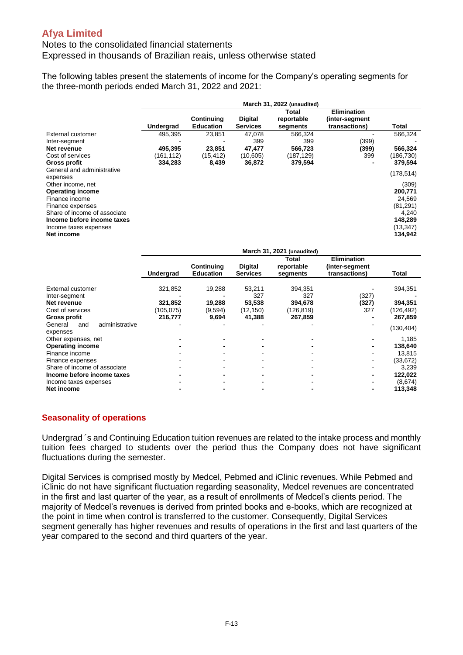### Notes to the consolidated financial statements Expressed in thousands of Brazilian reais, unless otherwise stated

The following tables present the statements of income for the Company's operating segments for the three-month periods ended March 31, 2022 and 2021:

|                                                                                                                                                                                                                                   | March 31, 2022 (unaudited)                  |                                        |                                                |                                                   |                                                       |                                                                                                   |
|-----------------------------------------------------------------------------------------------------------------------------------------------------------------------------------------------------------------------------------|---------------------------------------------|----------------------------------------|------------------------------------------------|---------------------------------------------------|-------------------------------------------------------|---------------------------------------------------------------------------------------------------|
|                                                                                                                                                                                                                                   | Undergrad                                   | Continuing<br><b>Education</b>         | <b>Digital</b><br><b>Services</b>              | Total<br>reportable<br>segments                   | <b>Elimination</b><br>(inter-segment<br>transactions) | Total                                                                                             |
| External customer<br>Inter-segment<br>Net revenue<br>Cost of services<br>Gross profit                                                                                                                                             | 495.395<br>495,395<br>(161, 112)<br>334,283 | 23.851<br>23,851<br>(15, 412)<br>8,439 | 47.078<br>399<br>47,477<br>(10, 605)<br>36,872 | 566.324<br>399<br>566,723<br>(187,129)<br>379,594 | (399)<br>(399)<br>399                                 | 566,324<br>566,324<br>(186,730)<br>379,594                                                        |
| General and administrative<br>expenses<br>Other income, net<br><b>Operating income</b><br>Finance income<br>Finance expenses<br>Share of income of associate<br>Income before income taxes<br>Income taxes expenses<br>Net income |                                             |                                        |                                                |                                                   |                                                       | (178, 514)<br>(309)<br>200,771<br>24,569<br>(81, 291)<br>4,240<br>148,289<br>(13, 347)<br>134,942 |

|                                              |           |                                       |                                   | March 31, 2021 (unaudited)      |                                                       |            |
|----------------------------------------------|-----------|---------------------------------------|-----------------------------------|---------------------------------|-------------------------------------------------------|------------|
|                                              | Undergrad | <b>Continuing</b><br><b>Education</b> | <b>Digital</b><br><b>Services</b> | Total<br>reportable<br>segments | <b>Elimination</b><br>(inter-segment<br>transactions) | Total      |
| External customer                            | 321,852   | 19,288                                | 53,211                            | 394,351                         |                                                       | 394,351    |
| Inter-segment                                |           |                                       | 327                               | 327                             | (327)                                                 |            |
| Net revenue                                  | 321,852   | 19,288                                | 53,538                            | 394,678                         | (327)                                                 | 394,351    |
| Cost of services                             | (105,075) | (9,594)                               | (12, 150)                         | (126,819)                       | 327                                                   | (126,492)  |
| Gross profit                                 | 216,777   | 9,694                                 | 41,388                            | 267,859                         |                                                       | 267,859    |
| administrative<br>General<br>and<br>expenses |           |                                       |                                   |                                 |                                                       | (130, 404) |
| Other expenses, net                          |           |                                       |                                   |                                 |                                                       | 1,185      |
| <b>Operating income</b>                      |           |                                       |                                   |                                 |                                                       | 138,640    |
| Finance income                               |           |                                       |                                   |                                 |                                                       | 13,815     |
| Finance expenses                             |           |                                       |                                   |                                 |                                                       | (33, 672)  |
| Share of income of associate                 |           |                                       |                                   |                                 |                                                       | 3,239      |
| Income before income taxes                   |           |                                       |                                   |                                 |                                                       | 122,022    |
| Income taxes expenses                        |           |                                       |                                   |                                 |                                                       | (8,674)    |
| Net income                                   |           |                                       |                                   |                                 |                                                       | 113,348    |

### **Seasonality of operations**

Undergrad ´s and Continuing Education tuition revenues are related to the intake process and monthly tuition fees charged to students over the period thus the Company does not have significant fluctuations during the semester.

Digital Services is comprised mostly by Medcel, Pebmed and iClinic revenues. While Pebmed and iClinic do not have significant fluctuation regarding seasonality, Medcel revenues are concentrated in the first and last quarter of the year, as a result of enrollments of Medcel's clients period. The majority of Medcel's revenues is derived from printed books and e-books, which are recognized at the point in time when control is transferred to the customer. Consequently, Digital Services segment generally has higher revenues and results of operations in the first and last quarters of the year compared to the second and third quarters of the year.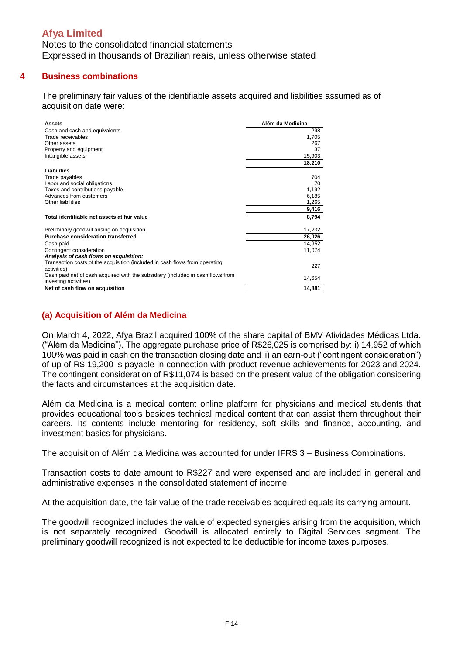Notes to the consolidated financial statements Expressed in thousands of Brazilian reais, unless otherwise stated

#### **4 Business combinations**

The preliminary fair values of the identifiable assets acquired and liabilities assumed as of acquisition date were:

| Assets                                                                                                   | Além da Medicina |
|----------------------------------------------------------------------------------------------------------|------------------|
| Cash and cash and equivalents                                                                            | 298              |
| Trade receivables                                                                                        | 1,705            |
| Other assets                                                                                             | 267              |
| Property and equipment                                                                                   | 37               |
| Intangible assets                                                                                        | 15,903           |
|                                                                                                          | 18,210           |
| <b>Liabilities</b>                                                                                       |                  |
| Trade payables                                                                                           | 704              |
| Labor and social obligations                                                                             | 70               |
| Taxes and contributions payable                                                                          | 1,192            |
| Advances from customers                                                                                  | 6,185            |
| Other liabilities                                                                                        | 1,265            |
|                                                                                                          | 9,416            |
| Total identifiable net assets at fair value                                                              | 8,794            |
| Preliminary goodwill arising on acquisition                                                              | 17,232           |
| Purchase consideration transferred                                                                       | 26,026           |
| Cash paid                                                                                                | 14,952           |
| Contingent consideration                                                                                 | 11,074           |
| Analysis of cash flows on acquisition:                                                                   |                  |
| Transaction costs of the acquisition (included in cash flows from operating<br>activities)               | 227              |
| Cash paid net of cash acquired with the subsidiary (included in cash flows from<br>investing activities) | 14,654           |
| Net of cash flow on acquisition                                                                          | 14,881           |

### **(a) Acquisition of Além da Medicina**

On March 4, 2022, Afya Brazil acquired 100% of the share capital of BMV Atividades Médicas Ltda. ("Além da Medicina"). The aggregate purchase price of R\$26,025 is comprised by: i) 14,952 of which 100% was paid in cash on the transaction closing date and ii) an earn-out ("contingent consideration") of up of R\$ 19,200 is payable in connection with product revenue achievements for 2023 and 2024. The contingent consideration of R\$11,074 is based on the present value of the obligation considering the facts and circumstances at the acquisition date.

Além da Medicina is a medical content online platform for physicians and medical students that provides educational tools besides technical medical content that can assist them throughout their careers. Its contents include mentoring for residency, soft skills and finance, accounting, and investment basics for physicians.

The acquisition of Além da Medicina was accounted for under IFRS 3 – Business Combinations.

Transaction costs to date amount to R\$227 and were expensed and are included in general and administrative expenses in the consolidated statement of income.

At the acquisition date, the fair value of the trade receivables acquired equals its carrying amount.

The goodwill recognized includes the value of expected synergies arising from the acquisition, which is not separately recognized. Goodwill is allocated entirely to Digital Services segment. The preliminary goodwill recognized is not expected to be deductible for income taxes purposes.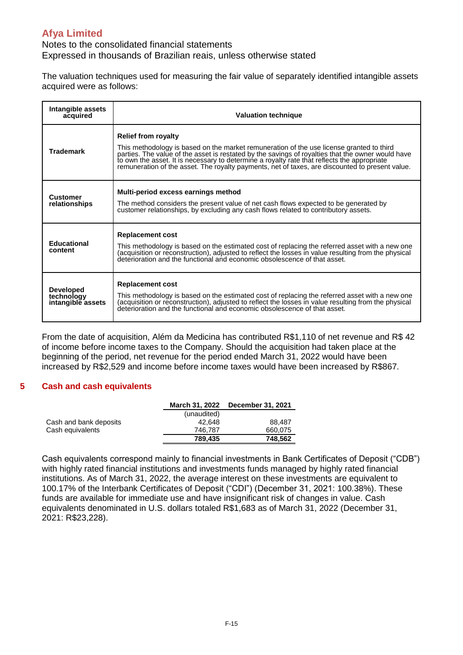Notes to the consolidated financial statements Expressed in thousands of Brazilian reais, unless otherwise stated

The valuation techniques used for measuring the fair value of separately identified intangible assets acquired were as follows:

| Intangible assets<br>acquired                       | <b>Valuation technique</b>                                                                                                                                                                                                                                                                                                                                                                                                    |
|-----------------------------------------------------|-------------------------------------------------------------------------------------------------------------------------------------------------------------------------------------------------------------------------------------------------------------------------------------------------------------------------------------------------------------------------------------------------------------------------------|
| <b>Trademark</b>                                    | <b>Relief from royalty</b><br>This methodology is based on the market remuneration of the use license granted to third<br>parties. The value of the asset is restated by the savings of royalties that the owner would have<br>to own the asset. It is necessary to determine a royalty rate that reflects the appropriate<br>remuneration of the asset. The royalty payments, net of taxes, are discounted to present value. |
| <b>Customer</b><br>relationships                    | Multi-period excess earnings method<br>The method considers the present value of net cash flows expected to be generated by<br>customer relationships, by excluding any cash flows related to contributory assets.                                                                                                                                                                                                            |
| <b>Educational</b><br>content                       | <b>Replacement cost</b><br>This methodology is based on the estimated cost of replacing the referred asset with a new one<br>(acquisition or reconstruction), adjusted to reflect the losses in value resulting from the physical deterioration and the functional and economic obsolescence of that asset.                                                                                                                   |
| <b>Developed</b><br>technology<br>intangible assets | <b>Replacement cost</b><br>This methodology is based on the estimated cost of replacing the referred asset with a new one<br>(acquisition or reconstruction), adjusted to reflect the losses in value resulting from the physical<br>deterioration and the functional and economic obsolescence of that asset.                                                                                                                |

From the date of acquisition, Além da Medicina has contributed R\$1,110 of net revenue and R\$ 42 of income before income taxes to the Company. Should the acquisition had taken place at the beginning of the period, net revenue for the period ended March 31, 2022 would have been increased by R\$2,529 and income before income taxes would have been increased by R\$867.

#### **5 Cash and cash equivalents**

|                        |             | March 31, 2022 December 31, 2021 |
|------------------------|-------------|----------------------------------|
|                        | (unaudited) |                                  |
| Cash and bank deposits | 42.648      | 88.487                           |
| Cash equivalents       | 746.787     | 660.075                          |
|                        | 789.435     | 748.562                          |

Cash equivalents correspond mainly to financial investments in Bank Certificates of Deposit ("CDB") with highly rated financial institutions and investments funds managed by highly rated financial institutions. As of March 31, 2022, the average interest on these investments are equivalent to 100.17% of the Interbank Certificates of Deposit ("CDI") (December 31, 2021: 100.38%). These funds are available for immediate use and have insignificant risk of changes in value. Cash equivalents denominated in U.S. dollars totaled R\$1,683 as of March 31, 2022 (December 31, 2021: R\$23,228).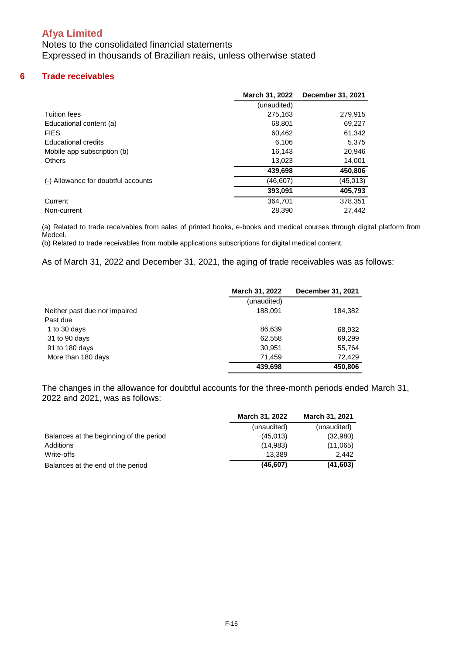Notes to the consolidated financial statements Expressed in thousands of Brazilian reais, unless otherwise stated

#### **6 Trade receivables**

|                                     | March 31, 2022 | <b>December 31, 2021</b> |
|-------------------------------------|----------------|--------------------------|
|                                     | (unaudited)    |                          |
| Tuition fees                        | 275,163        | 279,915                  |
| Educational content (a)             | 68,801         | 69,227                   |
| <b>FIES</b>                         | 60,462         | 61,342                   |
| <b>Educational credits</b>          | 6.106          | 5.375                    |
| Mobile app subscription (b)         | 16.143         | 20,946                   |
| <b>Others</b>                       | 13,023         | 14,001                   |
|                                     | 439,698        | 450,806                  |
| (-) Allowance for doubtful accounts | (46,607)       | (45, 013)                |
|                                     | 393,091        | 405,793                  |
| Current                             | 364,701        | 378.351                  |
| Non-current                         | 28.390         | 27.442                   |

(a) Related to trade receivables from sales of printed books, e-books and medical courses through digital platform from Medcel.

(b) Related to trade receivables from mobile applications subscriptions for digital medical content.

As of March 31, 2022 and December 31, 2021, the aging of trade receivables was as follows:

|                               | March 31, 2022 | December 31, 2021 |
|-------------------------------|----------------|-------------------|
|                               | (unaudited)    |                   |
| Neither past due nor impaired | 188.091        | 184,382           |
| Past due                      |                |                   |
| 1 to 30 days                  | 86.639         | 68,932            |
| 31 to 90 days                 | 62,558         | 69,299            |
| 91 to 180 days                | 30.951         | 55,764            |
| More than 180 days            | 71.459         | 72.429            |
|                               | 439,698        | 450,806           |

The changes in the allowance for doubtful accounts for the three-month periods ended March 31, 2022 and 2021, was as follows:

|                                         | <b>March 31, 2022</b> | <b>March 31, 2021</b> |
|-----------------------------------------|-----------------------|-----------------------|
|                                         | (unaudited)           | (unaudited)           |
| Balances at the beginning of the period | (45,013)              | (32,980)              |
| Additions                               | (14,983)              | (11,065)              |
| Write-offs                              | 13.389                | 2.442                 |
| Balances at the end of the period       | (46, 607)             | (41, 603)             |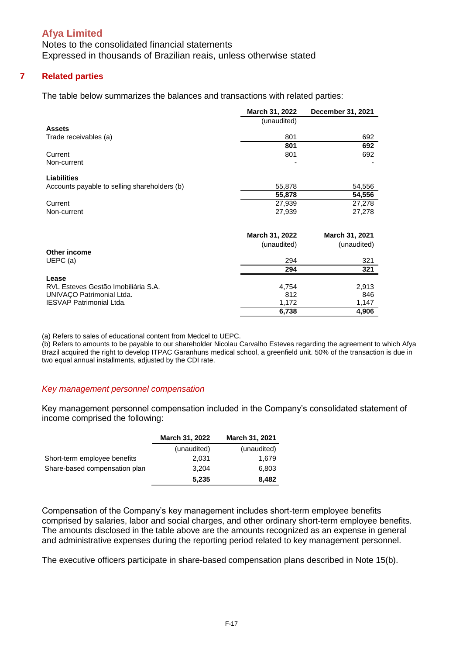Notes to the consolidated financial statements Expressed in thousands of Brazilian reais, unless otherwise stated

#### **7 Related parties**

The table below summarizes the balances and transactions with related parties:

|                                              | March 31, 2022 | December 31, 2021 |
|----------------------------------------------|----------------|-------------------|
|                                              | (unaudited)    |                   |
| <b>Assets</b>                                |                |                   |
| Trade receivables (a)                        | 801            | 692               |
|                                              | 801            | 692               |
| Current                                      | 801            | 692               |
| Non-current                                  |                |                   |
| <b>Liabilities</b>                           |                |                   |
| Accounts payable to selling shareholders (b) | 55,878         | 54,556            |
|                                              | 55,878         | 54,556            |
| Current                                      | 27,939         | 27,278            |
| Non-current                                  | 27,939         | 27,278            |
|                                              |                |                   |
|                                              | March 31, 2022 | March 31, 2021    |
|                                              | (unaudited)    | (unaudited)       |
| Other income                                 |                |                   |
| UEPC (a)                                     | 294            | 321               |
|                                              | 294            | 321               |
| Lease                                        |                |                   |
| RVL Esteves Gestão Imobiliária S.A.          | 4,754          | 2,913             |
| UNIVAÇO Patrimonial Ltda.                    | 812            | 846               |
| IESVAP Patrimonial Ltda.                     | 1,172          | 1,147             |
|                                              | 6,738          | 4,906             |

(a) Refers to sales of educational content from Medcel to UEPC.

(b) Refers to amounts to be payable to our shareholder Nicolau Carvalho Esteves regarding the agreement to which Afya Brazil acquired the right to develop ITPAC Garanhuns medical school, a greenfield unit. 50% of the transaction is due in two equal annual installments, adjusted by the CDI rate.

#### *Key management personnel compensation*

Key management personnel compensation included in the Company's consolidated statement of income comprised the following:

|                               | <b>March 31, 2022</b> | March 31, 2021 |
|-------------------------------|-----------------------|----------------|
|                               | (unaudited)           | (unaudited)    |
| Short-term employee benefits  | 2,031                 | 1,679          |
| Share-based compensation plan | 3.204                 | 6,803          |
|                               | 5,235                 | 8,482          |

Compensation of the Company's key management includes short-term employee benefits comprised by salaries, labor and social charges, and other ordinary short-term employee benefits. The amounts disclosed in the table above are the amounts recognized as an expense in general and administrative expenses during the reporting period related to key management personnel.

The executive officers participate in share-based compensation plans described in Note 15(b).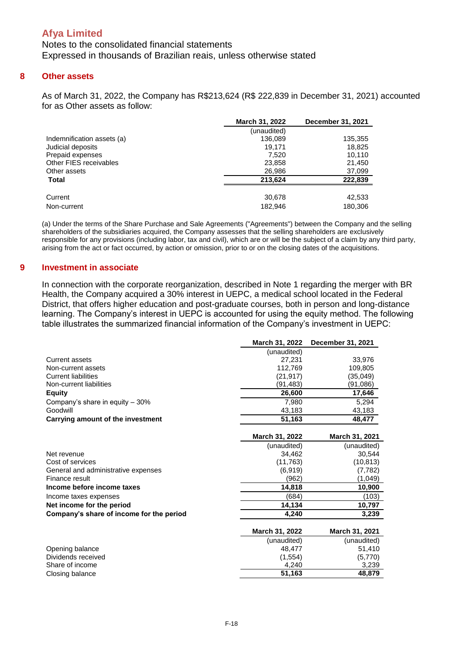Notes to the consolidated financial statements Expressed in thousands of Brazilian reais, unless otherwise stated

#### **8 Other assets**

As of March 31, 2022, the Company has R\$213,624 (R\$ 222,839 in December 31, 2021) accounted for as Other assets as follow:

|                            | <b>March 31, 2022</b> | December 31, 2021 |
|----------------------------|-----------------------|-------------------|
|                            | (unaudited)           |                   |
| Indemnification assets (a) | 136.089               | 135,355           |
| Judicial deposits          | 19.171                | 18,825            |
| Prepaid expenses           | 7.520                 | 10,110            |
| Other FIES receivables     | 23,858                | 21,450            |
| Other assets               | 26,986                | 37,099            |
| <b>Total</b>               | 213.624               | 222,839           |
| Current                    | 30,678                | 42,533            |
| Non-current                | 182.946               | 180.306           |

(a) Under the terms of the Share Purchase and Sale Agreements ("Agreements") between the Company and the selling shareholders of the subsidiaries acquired, the Company assesses that the selling shareholders are exclusively responsible for any provisions (including labor, tax and civil), which are or will be the subject of a claim by any third party, arising from the act or fact occurred, by action or omission, prior to or on the closing dates of the acquisitions.

#### **9 Investment in associate**

In connection with the corporate reorganization, described in Note 1 regarding the merger with BR Health, the Company acquired a 30% interest in UEPC, a medical school located in the Federal District, that offers higher education and post-graduate courses, both in person and long-distance learning. The Company's interest in UEPC is accounted for using the equity method. The following table illustrates the summarized financial information of the Company's investment in UEPC:

|                                          | March 31, 2022 | December 31, 2021 |
|------------------------------------------|----------------|-------------------|
|                                          | (unaudited)    |                   |
| Current assets                           | 27,231         | 33,976            |
| Non-current assets                       | 112,769        | 109,805           |
| <b>Current liabilities</b>               | (21, 917)      | (35,049)          |
| Non-current liabilities                  | (91,483)       | (91,086)          |
| <b>Equity</b>                            | 26,600         | 17,646            |
| Company's share in equity - 30%          | 7.980          | 5.294             |
| Goodwill                                 | 43,183         | 43,183            |
| Carrying amount of the investment        | 51,163         | 48,477            |
|                                          |                |                   |
|                                          | March 31, 2022 | March 31, 2021    |
|                                          | (unaudited)    | (unaudited)       |
| Net revenue                              | 34,462         | 30,544            |
| Cost of services                         | (11, 763)      | (10, 813)         |
| General and administrative expenses      | (6,919)        | (7, 782)          |
| Finance result                           | (962)          | (1,049)           |
| Income before income taxes               | 14,818         | 10,900            |
| Income taxes expenses                    | (684)          | (103)             |
| Net income for the period                | 14,134         | 10,797            |
| Company's share of income for the period | 4.240          | 3,239             |
|                                          | March 31, 2022 | March 31, 2021    |
|                                          | (unaudited)    | (unaudited)       |
| Opening balance                          | 48,477         | 51,410            |
| Dividends received                       | (1, 554)       | (5,770)           |
| Share of income                          | 4,240          | 3,239             |
| Closing balance                          | 51,163         | 48,879            |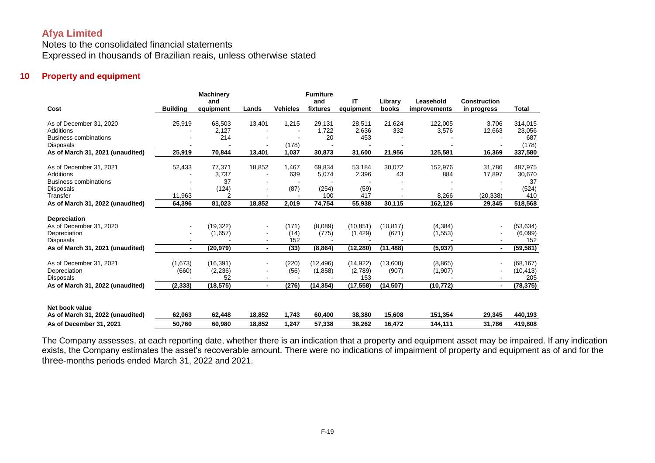Notes to the consolidated financial statements Expressed in thousands of Brazilian reais, unless otherwise stated

#### **10 Property and equipment**

|                                  |                 | <b>Machinery</b><br>and |                          |                 | <b>Furniture</b><br>and | ΙT        | Library   | Leasehold    | <b>Construction</b> |              |
|----------------------------------|-----------------|-------------------------|--------------------------|-----------------|-------------------------|-----------|-----------|--------------|---------------------|--------------|
| Cost                             | <b>Building</b> | equipment               | Lands                    | <b>Vehicles</b> | fixtures                | equipment | books     | improvements | in progress         | <b>Total</b> |
| As of December 31, 2020          | 25,919          | 68,503                  | 13,401                   | 1,215           | 29,131                  | 28,511    | 21,624    | 122,005      | 3,706               | 314,015      |
| <b>Additions</b>                 |                 | 2,127                   |                          |                 | 1.722                   | 2,636     | 332       | 3,576        | 12,663              | 23,056       |
| <b>Business combinations</b>     |                 | 214                     |                          |                 | 20                      | 453       |           |              |                     | 687          |
| <b>Disposals</b>                 |                 |                         |                          | (178)           |                         |           |           |              |                     | (178)        |
| As of March 31, 2021 (unaudited) | 25,919          | 70,844                  | 13,401                   | 1,037           | 30,873                  | 31,600    | 21,956    | 125,581      | 16,369              | 337,580      |
| As of December 31, 2021          | 52,433          | 77,371                  | 18,852                   | 1,467           | 69,834                  | 53,184    | 30,072    | 152,976      | 31,786              | 487,975      |
| Additions                        |                 | 3,737                   | $\overline{\phantom{a}}$ | 639             | 5,074                   | 2,396     | 43        | 884          | 17,897              | 30,670       |
| <b>Business combinations</b>     |                 | 37                      |                          |                 |                         |           |           |              |                     | 37           |
| Disposals                        |                 | (124)                   |                          | (87)            | (254)                   | (59)      |           |              |                     | (524)        |
| Transfer                         | 11.963          |                         |                          |                 | 100                     | 417       |           | 8,266        | (20,338)            | 410          |
| As of March 31, 2022 (unaudited) | 64,396          | 81,023                  | 18,852                   | 2,019           | 74,754                  | 55,938    | 30,115    | 162,126      | 29,345              | 518,568      |
| <b>Depreciation</b>              |                 |                         |                          |                 |                         |           |           |              |                     |              |
| As of December 31, 2020          |                 | (19, 322)               | $\blacksquare$           | (171)           | (8,089)                 | (10, 851) | (10, 817) | (4, 384)     |                     | (53, 634)    |
| Depreciation                     |                 | (1,657)                 |                          | (14)            | (775)                   | (1, 429)  | (671)     | (1, 553)     |                     | (6,099)      |
| <b>Disposals</b>                 |                 |                         |                          | 152             |                         |           |           |              |                     | 152          |
| As of March 31, 2021 (unaudited) | $\blacksquare$  | (20, 979)               | $\blacksquare$           | (33)            | (8, 864)                | (12, 280) | (11,488)  | (5, 937)     | $\blacksquare$      | (59, 581)    |
| As of December 31, 2021          | (1,673)         | (16, 391)               |                          | (220)           | (12, 496)               | (14, 922) | (13,600)  | (8,865)      |                     | (68, 167)    |
| Depreciation                     | (660)           | (2, 236)                |                          | (56)            | (1,858)                 | (2,789)   | (907)     | (1, 907)     |                     | (10, 413)    |
| <b>Disposals</b>                 |                 | 52                      |                          |                 |                         | 153       |           |              |                     | 205          |
| As of March 31, 2022 (unaudited) | (2, 333)        | (18, 575)               | $\blacksquare$           | (276)           | (14, 354)               | (17, 558) | (14,507)  | (10,772)     | $\blacksquare$      | (78, 375)    |
|                                  |                 |                         |                          |                 |                         |           |           |              |                     |              |
| Net book value                   |                 |                         |                          |                 |                         |           |           |              |                     |              |
| As of March 31, 2022 (unaudited) | 62,063          | 62,448                  | 18,852                   | 1,743           | 60,400                  | 38,380    | 15,608    | 151,354      | 29,345              | 440,193      |
| As of December 31, 2021          | 50,760          | 60,980                  | 18.852                   | 1.247           | 57,338                  | 38.262    | 16,472    | 144,111      | 31,786              | 419,808      |

The Company assesses, at each reporting date, whether there is an indication that a property and equipment asset may be impaired. If any indication exists, the Company estimates the asset's recoverable amount. There were no indications of impairment of property and equipment as of and for the three-months periods ended March 31, 2022 and 2021.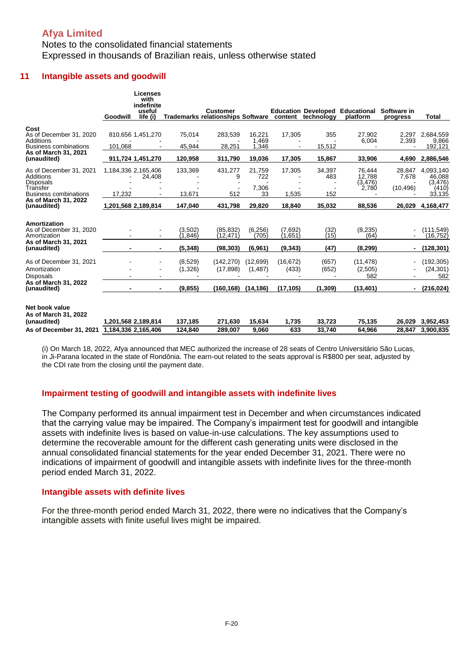### Notes to the consolidated financial statements Expressed in thousands of Brazilian reais, unless otherwise stated

#### **11 Intangible assets and goodwill**

|                                                                                                      | Goodwill                                   | Licenses<br>with<br>indefinite<br>useful<br>life (i) |                                | <b>Customer</b><br>Trademarks relationships Software content |                                   |                                 | technology                 | <b>Education Developed Educational</b><br>platform | Software in<br>progress                    | <b>Total</b>                                      |
|------------------------------------------------------------------------------------------------------|--------------------------------------------|------------------------------------------------------|--------------------------------|--------------------------------------------------------------|-----------------------------------|---------------------------------|----------------------------|----------------------------------------------------|--------------------------------------------|---------------------------------------------------|
| Cost<br>As of December 31, 2020<br>Additions<br><b>Business combinations</b><br>As of March 31, 2021 | 101.068                                    | 810.656 1.451.270                                    | 75,014<br>45,944               | 283,539<br>28,251                                            | 16.221<br>1,469<br>1,346          | 17,305<br>$\blacksquare$        | 355<br>15,512              | 27.902<br>6,004                                    | 2.297<br>2,393                             | 2,684,559<br>9,866<br>192,121                     |
| (unaudited)                                                                                          |                                            | 911,724 1,451,270                                    | 120,958                        | 311,790                                                      | 19,036                            | 17,305                          | 15,867                     | 33,906                                             | 4,690                                      | 2,886,546                                         |
| As of December 31, 2021<br>Additions<br><b>Disposals</b><br>Transfer<br><b>Business combinations</b> | 1,184,336 2,165,406<br>17.232              | 24,408                                               | 133,369<br>13,671              | 431,277<br>9<br>512                                          | 21,759<br>722<br>7,306<br>33      | 17,305<br>1,535                 | 34,397<br>483<br>152       | 76.444<br>12,788<br>(3, 476)<br>2,780              | 28.847<br>7,678<br>(10, 496)               | 4.093.140<br>46,088<br>(3.476)<br>(410)<br>33,135 |
| As of March 31, 2022<br>(unaudited)                                                                  | 1,201,568 2,189,814                        |                                                      | 147,040                        | 431,798                                                      | 29,820                            | 18,840                          | 35,032                     | 88,536                                             | 26,029                                     | 4,168,477                                         |
| Amortization<br>As of December 31, 2020<br>Amortization<br>As of March 31, 2021<br>(unaudited)       |                                            |                                                      | (3,502)<br>(1,846)<br>(5, 348) | (85, 832)<br>(12,471)<br>(98, 303)                           | (6, 256)<br>(705)<br>(6,961)      | (7,692)<br>(1,651)<br>(9, 343)  | $\binom{32}{15}$<br>(47)   | (8, 235)<br>(64)<br>(8, 299)                       | $\overline{\phantom{a}}$<br>$\blacksquare$ | (111, 549)<br>(16, 752)<br>(128, 301)             |
| As of December 31, 2021<br>Amortization<br><b>Disposals</b><br>As of March 31, 2022<br>(unaudited)   |                                            | $\blacksquare$                                       | (8,529)<br>(1,326)<br>(9, 855) | (142, 270)<br>(17, 898)<br>(160, 168)                        | (12,699)<br>(1, 487)<br>(14, 186) | (16, 672)<br>(433)<br>(17, 105) | (657)<br>(652)<br>(1, 309) | (11, 478)<br>(2,505)<br>582<br>(13, 401)           | $\overline{\phantom{0}}$<br>$\blacksquare$ | (192, 305)<br>(24, 301)<br>582<br>(216, 024)      |
| Net book value<br>As of March 31, 2022<br>(unaudited)<br>As of December 31, 2021                     | 1,201,568 2,189,814<br>1,184,336 2,165,406 |                                                      | 137,185<br>124,840             | 271,630<br>289,007                                           | 15,634<br>9,060                   | 1,735<br>633                    | 33,723<br>33,740           | 75,135<br>64,966                                   | 26,029<br>28,847                           | 3,952,453<br>3,900,835                            |

(i) On March 18, 2022, Afya announced that MEC authorized the increase of 28 seats of Centro Universitário São Lucas, in Ji-Parana located in the state of Rondônia. The earn-out related to the seats approval is R\$800 per seat, adjusted by the CDI rate from the closing until the payment date.

#### **Impairment testing of goodwill and intangible assets with indefinite lives**

The Company performed its annual impairment test in December and when circumstances indicated that the carrying value may be impaired. The Company's impairment test for goodwill and intangible assets with indefinite lives is based on value-in-use calculations. The key assumptions used to determine the recoverable amount for the different cash generating units were disclosed in the annual consolidated financial statements for the year ended December 31, 2021. There were no indications of impairment of goodwill and intangible assets with indefinite lives for the three-month period ended March 31, 2022.

#### **Intangible assets with definite lives**

For the three-month period ended March 31, 2022, there were no indicatives that the Company's intangible assets with finite useful lives might be impaired.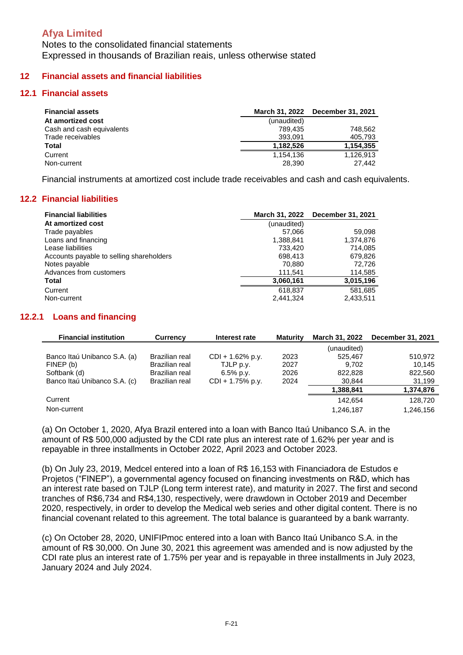Notes to the consolidated financial statements Expressed in thousands of Brazilian reais, unless otherwise stated

### **12 Financial assets and financial liabilities**

#### **12.1 Financial assets**

| <b>Financial assets</b>   | March 31, 2022 | <b>December 31, 2021</b> |
|---------------------------|----------------|--------------------------|
| At amortized cost         | (unaudited)    |                          |
| Cash and cash equivalents | 789.435        | 748.562                  |
| Trade receivables         | 393.091        | 405,793                  |
| <b>Total</b>              | 1,182,526      | 1,154,355                |
| Current                   | 1.154.136      | 1.126.913                |
| Non-current               | 28,390         | 27.442                   |

Financial instruments at amortized cost include trade receivables and cash and cash equivalents.

### **12.2 Financial liabilities**

| <b>Financial liabilities</b>             |             | March 31, 2022 December 31, 2021 |
|------------------------------------------|-------------|----------------------------------|
| At amortized cost                        | (unaudited) |                                  |
| Trade payables                           | 57,066      | 59,098                           |
| Loans and financing                      | 1,388,841   | 1,374,876                        |
| Lease liabilities                        | 733.420     | 714.085                          |
| Accounts payable to selling shareholders | 698.413     | 679.826                          |
| Notes payable                            | 70,880      | 72,726                           |
| Advances from customers                  | 111,541     | 114,585                          |
| Total                                    | 3,060,161   | 3,015,196                        |
| Current                                  | 618,837     | 581,685                          |
| Non-current                              | 2,441,324   | 2,433,511                        |

#### **12.2.1 Loans and financing**

| <b>Financial institution</b> | <b>Currency</b> | Interest rate       | <b>Maturity</b> | <b>March 31, 2022</b> | December 31, 2021 |
|------------------------------|-----------------|---------------------|-----------------|-----------------------|-------------------|
|                              |                 |                     |                 | (unaudited)           |                   |
| Banco Itaú Unibanco S.A. (a) | Brazilian real  | $CDI + 1.62% p.y.$  | 2023            | 525.467               | 510.972           |
| FINEP (b)                    | Brazilian real  | TJLP p.y.           | 2027            | 9.702                 | 10.145            |
| Softbank (d)                 | Brazilian real  | $6.5\%$ p.v.        | 2026            | 822,828               | 822,560           |
| Banco Itaú Unibanco S.A. (c) | Brazilian real  | $CDI + 1.75\%$ p.y. | 2024            | 30.844                | 31,199            |
|                              |                 |                     |                 | 1,388,841             | 1,374,876         |
| Current                      |                 |                     |                 | 142.654               | 128,720           |
| Non-current                  |                 |                     |                 | 1.246.187             | 1,246,156         |

(a) On October 1, 2020, Afya Brazil entered into a loan with Banco Itaú Unibanco S.A. in the amount of R\$ 500,000 adjusted by the CDI rate plus an interest rate of 1.62% per year and is repayable in three installments in October 2022, April 2023 and October 2023.

(b) On July 23, 2019, Medcel entered into a loan of R\$ 16,153 with Financiadora de Estudos e Projetos ("FINEP"), a governmental agency focused on financing investments on R&D, which has an interest rate based on TJLP (Long term interest rate), and maturity in 2027. The first and second tranches of R\$6,734 and R\$4,130, respectively, were drawdown in October 2019 and December 2020, respectively, in order to develop the Medical web series and other digital content. There is no financial covenant related to this agreement. The total balance is guaranteed by a bank warranty.

(c) On October 28, 2020, UNIFIPmoc entered into a loan with Banco Itaú Unibanco S.A. in the amount of R\$ 30,000. On June 30, 2021 this agreement was amended and is now adjusted by the CDI rate plus an interest rate of 1.75% per year and is repayable in three installments in July 2023, January 2024 and July 2024.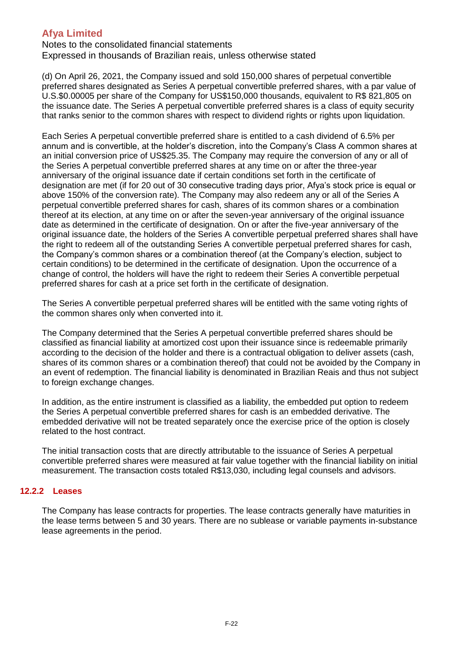Notes to the consolidated financial statements Expressed in thousands of Brazilian reais, unless otherwise stated

(d) On April 26, 2021, the Company issued and sold 150,000 shares of perpetual convertible preferred shares designated as Series A perpetual convertible preferred shares, with a par value of U.S.\$0.00005 per share of the Company for US\$150,000 thousands, equivalent to R\$ 821,805 on the issuance date. The Series A perpetual convertible preferred shares is a class of equity security that ranks senior to the common shares with respect to dividend rights or rights upon liquidation.

Each Series A perpetual convertible preferred share is entitled to a cash dividend of 6.5% per annum and is convertible, at the holder's discretion, into the Company's Class A common shares at an initial conversion price of US\$25.35. The Company may require the conversion of any or all of the Series A perpetual convertible preferred shares at any time on or after the three-year anniversary of the original issuance date if certain conditions set forth in the certificate of designation are met (if for 20 out of 30 consecutive trading days prior, Afya's stock price is equal or above 150% of the conversion rate). The Company may also redeem any or all of the Series A perpetual convertible preferred shares for cash, shares of its common shares or a combination thereof at its election, at any time on or after the seven-year anniversary of the original issuance date as determined in the certificate of designation. On or after the five-year anniversary of the original issuance date, the holders of the Series A convertible perpetual preferred shares shall have the right to redeem all of the outstanding Series A convertible perpetual preferred shares for cash, the Company's common shares or a combination thereof (at the Company's election, subject to certain conditions) to be determined in the certificate of designation. Upon the occurrence of a change of control, the holders will have the right to redeem their Series A convertible perpetual preferred shares for cash at a price set forth in the certificate of designation.

The Series A convertible perpetual preferred shares will be entitled with the same voting rights of the common shares only when converted into it.

The Company determined that the Series A perpetual convertible preferred shares should be classified as financial liability at amortized cost upon their issuance since is redeemable primarily according to the decision of the holder and there is a contractual obligation to deliver assets (cash, shares of its common shares or a combination thereof) that could not be avoided by the Company in an event of redemption. The financial liability is denominated in Brazilian Reais and thus not subject to foreign exchange changes.

In addition, as the entire instrument is classified as a liability, the embedded put option to redeem the Series A perpetual convertible preferred shares for cash is an embedded derivative. The embedded derivative will not be treated separately once the exercise price of the option is closely related to the host contract.

The initial transaction costs that are directly attributable to the issuance of Series A perpetual convertible preferred shares were measured at fair value together with the financial liability on initial measurement. The transaction costs totaled R\$13,030, including legal counsels and advisors.

### **12.2.2 Leases**

The Company has lease contracts for properties. The lease contracts generally have maturities in the lease terms between 5 and 30 years. There are no sublease or variable payments in-substance lease agreements in the period.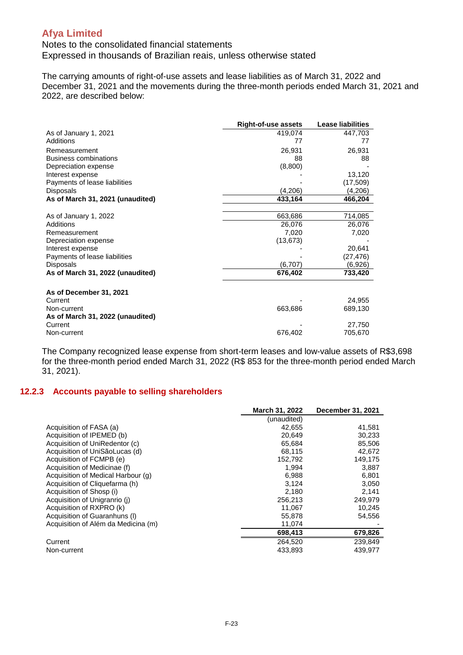Notes to the consolidated financial statements Expressed in thousands of Brazilian reais, unless otherwise stated

The carrying amounts of right-of-use assets and lease liabilities as of March 31, 2022 and December 31, 2021 and the movements during the three-month periods ended March 31, 2021 and 2022, are described below:

|                                                            | <b>Right-of-use assets</b> | <b>Lease liabilities</b> |
|------------------------------------------------------------|----------------------------|--------------------------|
| As of January 1, 2021                                      | 419,074                    | 447,703                  |
| Additions                                                  | 77                         | 77                       |
| Remeasurement                                              | 26,931                     | 26,931                   |
| <b>Business combinations</b>                               | 88                         | 88                       |
| Depreciation expense                                       | (8,800)                    |                          |
| Interest expense                                           |                            | 13,120                   |
| Payments of lease liabilities                              |                            | (17, 509)                |
| <b>Disposals</b>                                           | (4,206)                    | (4,206)                  |
| As of March 31, 2021 (unaudited)                           | 433,164                    | 466,204                  |
|                                                            |                            |                          |
| As of January 1, 2022                                      | 663,686                    | 714,085                  |
| Additions                                                  | 26,076                     | 26,076                   |
| Remeasurement                                              | 7,020                      | 7,020                    |
| Depreciation expense                                       | (13, 673)                  |                          |
| Interest expense                                           |                            | 20,641                   |
| Payments of lease liabilities                              |                            | (27, 476)                |
| <b>Disposals</b>                                           | (6,707)                    | (6,926)                  |
| As of March 31, 2022 (unaudited)                           | 676,402                    | 733,420                  |
| As of December 31, 2021                                    |                            |                          |
| Current<br>Non-current<br>As of March 31, 2022 (unaudited) | 663,686                    | 24,955<br>689,130        |
| Current<br>Non-current                                     | 676,402                    | 27,750<br>705,670        |

The Company recognized lease expense from short-term leases and low-value assets of R\$3,698 for the three-month period ended March 31, 2022 (R\$ 853 for the three-month period ended March 31, 2021).

#### **12.2.3 Accounts payable to selling shareholders**

|                                     | March 31, 2022 | December 31, 2021 |
|-------------------------------------|----------------|-------------------|
|                                     | (unaudited)    |                   |
| Acquisition of FASA (a)             | 42,655         | 41,581            |
| Acquisition of IPEMED (b)           | 20,649         | 30,233            |
| Acquisition of UniRedentor (c)      | 65,684         | 85,506            |
| Acquisition of UniSãoLucas (d)      | 68,115         | 42,672            |
| Acquisition of FCMPB (e)            | 152,792        | 149,175           |
| Acquisition of Medicinae (f)        | 1.994          | 3,887             |
| Acquisition of Medical Harbour (g)  | 6,988          | 6,801             |
| Acquisition of Cliquefarma (h)      | 3.124          | 3,050             |
| Acquisition of Shosp (i)            | 2,180          | 2.141             |
| Acquisition of Unigranrio (j)       | 256,213        | 249,979           |
| Acquisition of RXPRO (k)            | 11,067         | 10,245            |
| Acquisition of Guaranhuns (I)       | 55,878         | 54,556            |
| Acquisition of Além da Medicina (m) | 11,074         |                   |
|                                     | 698,413        | 679,826           |
| Current                             | 264.520        | 239.849           |
| Non-current                         | 433,893        | 439.977           |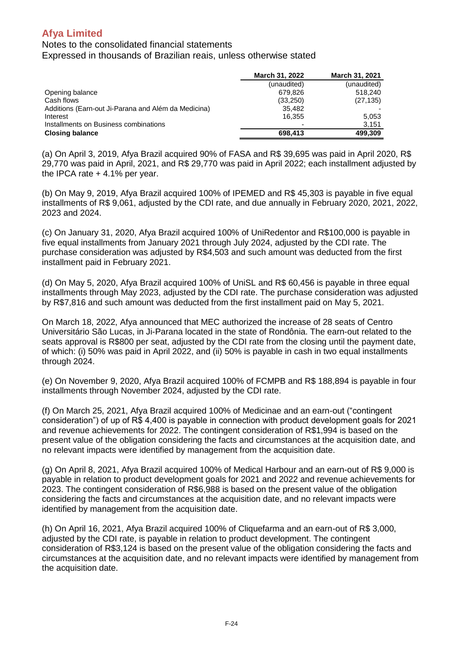#### Notes to the consolidated financial statements

Expressed in thousands of Brazilian reais, unless otherwise stated

|                                                     | <b>March 31, 2022</b> | March 31, 2021 |
|-----------------------------------------------------|-----------------------|----------------|
|                                                     | (unaudited)           | (unaudited)    |
| Opening balance                                     | 679.826               | 518.240        |
| Cash flows                                          | (33,250)              | (27, 135)      |
| Additions (Earn-out Ji-Parana and Além da Medicina) | 35.482                |                |
| Interest                                            | 16.355                | 5.053          |
| Installments on Business combinations               |                       | 3.151          |
| <b>Closing balance</b>                              | 698,413               | 499,309        |

(a) On April 3, 2019, Afya Brazil acquired 90% of FASA and R\$ 39,695 was paid in April 2020, R\$ 29,770 was paid in April, 2021, and R\$ 29,770 was paid in April 2022; each installment adjusted by the IPCA rate  $+4.1\%$  per year.

(b) On May 9, 2019, Afya Brazil acquired 100% of IPEMED and R\$ 45,303 is payable in five equal installments of R\$ 9,061, adjusted by the CDI rate, and due annually in February 2020, 2021, 2022, 2023 and 2024.

(c) On January 31, 2020, Afya Brazil acquired 100% of UniRedentor and R\$100,000 is payable in five equal installments from January 2021 through July 2024, adjusted by the CDI rate. The purchase consideration was adjusted by R\$4,503 and such amount was deducted from the first installment paid in February 2021.

(d) On May 5, 2020, Afya Brazil acquired 100% of UniSL and R\$ 60,456 is payable in three equal installments through May 2023, adjusted by the CDI rate. The purchase consideration was adjusted by R\$7,816 and such amount was deducted from the first installment paid on May 5, 2021.

On March 18, 2022, Afya announced that MEC authorized the increase of 28 seats of Centro Universitário São Lucas, in Ji-Parana located in the state of Rondônia. The earn-out related to the seats approval is R\$800 per seat, adjusted by the CDI rate from the closing until the payment date, of which: (i) 50% was paid in April 2022, and (ii) 50% is payable in cash in two equal installments through 2024.

(e) On November 9, 2020, Afya Brazil acquired 100% of FCMPB and R\$ 188,894 is payable in four installments through November 2024, adjusted by the CDI rate.

(f) On March 25, 2021, Afya Brazil acquired 100% of Medicinae and an earn-out ("contingent consideration") of up of R\$ 4,400 is payable in connection with product development goals for 2021 and revenue achievements for 2022. The contingent consideration of R\$1,994 is based on the present value of the obligation considering the facts and circumstances at the acquisition date, and no relevant impacts were identified by management from the acquisition date.

(g) On April 8, 2021, Afya Brazil acquired 100% of Medical Harbour and an earn-out of R\$ 9,000 is payable in relation to product development goals for 2021 and 2022 and revenue achievements for 2023. The contingent consideration of R\$6,988 is based on the present value of the obligation considering the facts and circumstances at the acquisition date, and no relevant impacts were identified by management from the acquisition date.

(h) On April 16, 2021, Afya Brazil acquired 100% of Cliquefarma and an earn-out of R\$ 3,000, adjusted by the CDI rate, is payable in relation to product development. The contingent consideration of R\$3,124 is based on the present value of the obligation considering the facts and circumstances at the acquisition date, and no relevant impacts were identified by management from the acquisition date.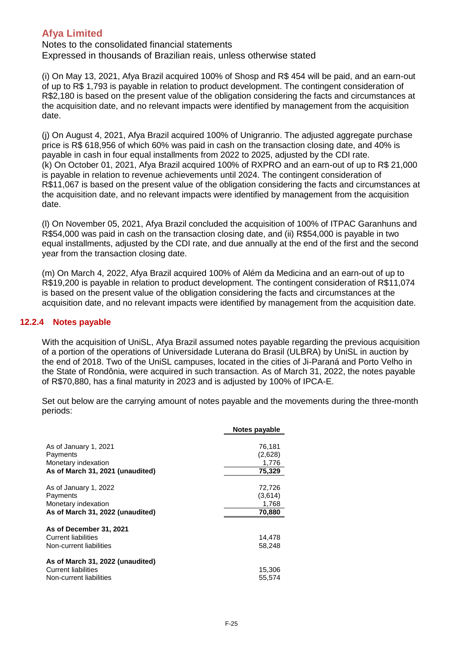Notes to the consolidated financial statements Expressed in thousands of Brazilian reais, unless otherwise stated

(i) On May 13, 2021, Afya Brazil acquired 100% of Shosp and R\$ 454 will be paid, and an earn-out of up to R\$ 1,793 is payable in relation to product development. The contingent consideration of R\$2,180 is based on the present value of the obligation considering the facts and circumstances at the acquisition date, and no relevant impacts were identified by management from the acquisition date.

(j) On August 4, 2021, Afya Brazil acquired 100% of Unigranrio. The adjusted aggregate purchase price is R\$ 618,956 of which 60% was paid in cash on the transaction closing date, and 40% is payable in cash in four equal installments from 2022 to 2025, adjusted by the CDI rate. (k) On October 01, 2021, Afya Brazil acquired 100% of RXPRO and an earn-out of up to R\$ 21,000 is payable in relation to revenue achievements until 2024. The contingent consideration of R\$11,067 is based on the present value of the obligation considering the facts and circumstances at the acquisition date, and no relevant impacts were identified by management from the acquisition date.

(l) On November 05, 2021, Afya Brazil concluded the acquisition of 100% of ITPAC Garanhuns and R\$54,000 was paid in cash on the transaction closing date, and (ii) R\$54,000 is payable in two equal installments, adjusted by the CDI rate, and due annually at the end of the first and the second year from the transaction closing date.

(m) On March 4, 2022, Afya Brazil acquired 100% of Além da Medicina and an earn-out of up to R\$19,200 is payable in relation to product development. The contingent consideration of R\$11,074 is based on the present value of the obligation considering the facts and circumstances at the acquisition date, and no relevant impacts were identified by management from the acquisition date.

### **12.2.4 Notes payable**

With the acquisition of UniSL, Afya Brazil assumed notes payable regarding the previous acquisition of a portion of the operations of Universidade Luterana do Brasil (ULBRA) by UniSL in auction by the end of 2018. Two of the UniSL campuses, located in the cities of Ji-Paraná and Porto Velho in the State of Rondônia, were acquired in such transaction. As of March 31, 2022, the notes payable of R\$70,880, has a final maturity in 2023 and is adjusted by 100% of IPCA-E.

Set out below are the carrying amount of notes payable and the movements during the three-month periods:

|                                                                                              | Notes payable                        |
|----------------------------------------------------------------------------------------------|--------------------------------------|
| As of January 1, 2021<br>Payments<br>Monetary indexation<br>As of March 31, 2021 (unaudited) | 76,181<br>(2,628)<br>1,776<br>75,329 |
| As of January 1, 2022<br>Payments<br>Monetary indexation<br>As of March 31, 2022 (unaudited) | 72,726<br>(3,614)<br>1,768<br>70,880 |
| As of December 31, 2021<br><b>Current liabilities</b><br>Non-current liabilities             | 14,478<br>58.248                     |
| As of March 31, 2022 (unaudited)<br><b>Current liabilities</b><br>Non-current liabilities    | 15,306<br>55.574                     |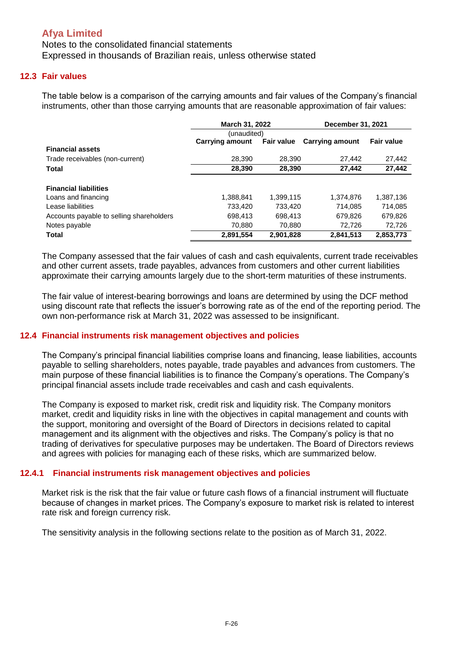Notes to the consolidated financial statements Expressed in thousands of Brazilian reais, unless otherwise stated

### **12.3 Fair values**

The table below is a comparison of the carrying amounts and fair values of the Company's financial instruments, other than those carrying amounts that are reasonable approximation of fair values:

|                                          | <b>March 31, 2022</b>  |                   | December 31, 2021      |                   |
|------------------------------------------|------------------------|-------------------|------------------------|-------------------|
|                                          | (unaudited)            |                   |                        |                   |
|                                          | <b>Carrying amount</b> | <b>Fair value</b> | <b>Carrying amount</b> | <b>Fair value</b> |
| <b>Financial assets</b>                  |                        |                   |                        |                   |
| Trade receivables (non-current)          | 28,390                 | 28,390            | 27,442                 | 27,442            |
| <b>Total</b>                             | 28,390                 | 28,390            | 27.442                 | 27,442            |
| <b>Financial liabilities</b>             |                        |                   |                        |                   |
| Loans and financing                      | 1.388.841              | 1,399,115         | 1.374.876              | 1,387,136         |
| Lease liabilities                        | 733,420                | 733.420           | 714.085                | 714,085           |
| Accounts payable to selling shareholders | 698,413                | 698.413           | 679,826                | 679,826           |
| Notes payable                            | 70,880                 | 70,880            | 72,726                 | 72,726            |
| Total                                    | 2,891,554              | 2,901,828         | 2,841,513              | 2,853,773         |

The Company assessed that the fair values of cash and cash equivalents, current trade receivables and other current assets, trade payables, advances from customers and other current liabilities approximate their carrying amounts largely due to the short-term maturities of these instruments.

The fair value of interest-bearing borrowings and loans are determined by using the DCF method using discount rate that reflects the issuer's borrowing rate as of the end of the reporting period. The own non-performance risk at March 31, 2022 was assessed to be insignificant.

#### **12.4 Financial instruments risk management objectives and policies**

The Company's principal financial liabilities comprise loans and financing, lease liabilities, accounts payable to selling shareholders, notes payable, trade payables and advances from customers. The main purpose of these financial liabilities is to finance the Company's operations. The Company's principal financial assets include trade receivables and cash and cash equivalents.

The Company is exposed to market risk, credit risk and liquidity risk. The Company monitors market, credit and liquidity risks in line with the objectives in capital management and counts with the support, monitoring and oversight of the Board of Directors in decisions related to capital management and its alignment with the objectives and risks. The Company's policy is that no trading of derivatives for speculative purposes may be undertaken. The Board of Directors reviews and agrees with policies for managing each of these risks, which are summarized below.

#### **12.4.1 Financial instruments risk management objectives and policies**

Market risk is the risk that the fair value or future cash flows of a financial instrument will fluctuate because of changes in market prices. The Company's exposure to market risk is related to interest rate risk and foreign currency risk.

The sensitivity analysis in the following sections relate to the position as of March 31, 2022.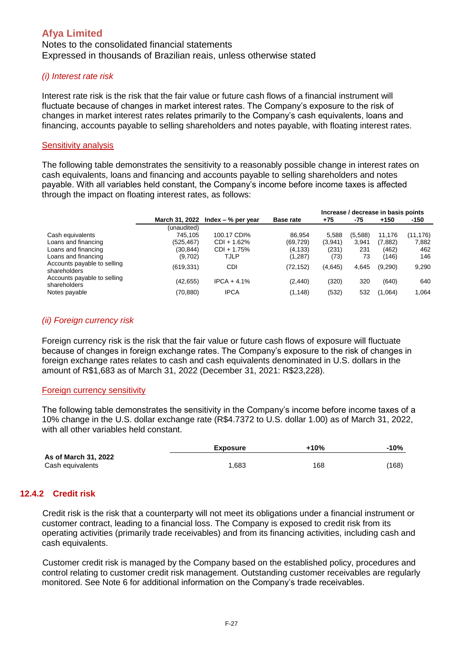Notes to the consolidated financial statements Expressed in thousands of Brazilian reais, unless otherwise stated

#### *(i) Interest rate risk*

Interest rate risk is the risk that the fair value or future cash flows of a financial instrument will fluctuate because of changes in market interest rates. The Company's exposure to the risk of changes in market interest rates relates primarily to the Company's cash equivalents, loans and financing, accounts payable to selling shareholders and notes payable, with floating interest rates.

#### Sensitivity analysis

The following table demonstrates the sensitivity to a reasonably possible change in interest rates on cash equivalents, loans and financing and accounts payable to selling shareholders and notes payable. With all variables held constant, the Company's income before income taxes is affected through the impact on floating interest rates, as follows:

|                                             |                |                      |                  |         |         | Increase / decrease in basis points |           |
|---------------------------------------------|----------------|----------------------|------------------|---------|---------|-------------------------------------|-----------|
|                                             | March 31, 2022 | Index $-$ % per year | <b>Base rate</b> | +75     | -75     | $+150$                              | $-150$    |
|                                             | (unaudited)    |                      |                  |         |         |                                     |           |
| Cash equivalents                            | 745.105        | 100.17 CDI%          | 86.954           | 5.588   | (5,588) | 11.176                              | (11, 176) |
| Loans and financing                         | (525,467)      | CDI + 1.62%          | (69,729)         | (3,941) | 3,941   | (7,882)                             | 7,882     |
| Loans and financing                         | (30,844)       | CDI + 1.75%          | (4, 133)         | (231)   | 231     | (462)                               | 462       |
| Loans and financing                         | (9,702)        | TJLP                 | (1, 287)         | (73)    | 73      | (146)                               | 146       |
| Accounts payable to selling<br>shareholders | (619, 331)     | CDI                  | (72,152)         | (4,645) | 4,645   | (9,290)                             | 9,290     |
| Accounts payable to selling<br>shareholders | (42, 655)      | $IPCA + 4.1%$        | (2, 440)         | (320)   | 320     | (640)                               | 640       |
| Notes payable                               | (70,880)       | <b>IPCA</b>          | (1, 148)         | (532)   | 532     | (1,064)                             | 1.064     |

#### *(ii) Foreign currency risk*

Foreign currency risk is the risk that the fair value or future cash flows of exposure will fluctuate because of changes in foreign exchange rates. The Company's exposure to the risk of changes in foreign exchange rates relates to cash and cash equivalents denominated in U.S. dollars in the amount of R\$1,683 as of March 31, 2022 (December 31, 2021: R\$23,228).

#### Foreign currency sensitivity

The following table demonstrates the sensitivity in the Company's income before income taxes of a 10% change in the U.S. dollar exchange rate (R\$4.7372 to U.S. dollar 1.00) as of March 31, 2022, with all other variables held constant.

|                                          | <b>Exposure</b> | +10% | $-10%$ |
|------------------------------------------|-----------------|------|--------|
| As of March 31, 2022<br>Cash equivalents | 1,683           | 168  | (168)  |

### **12.4.2 Credit risk**

Credit risk is the risk that a counterparty will not meet its obligations under a financial instrument or customer contract, leading to a financial loss. The Company is exposed to credit risk from its operating activities (primarily trade receivables) and from its financing activities, including cash and cash equivalents.

Customer credit risk is managed by the Company based on the established policy, procedures and control relating to customer credit risk management. Outstanding customer receivables are regularly monitored. See Note 6 for additional information on the Company's trade receivables.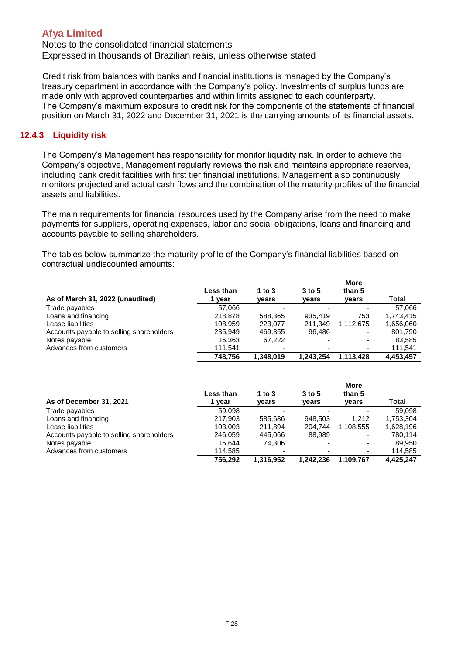Notes to the consolidated financial statements Expressed in thousands of Brazilian reais, unless otherwise stated

Credit risk from balances with banks and financial institutions is managed by the Company's treasury department in accordance with the Company's policy. Investments of surplus funds are made only with approved counterparties and within limits assigned to each counterparty. The Company's maximum exposure to credit risk for the components of the statements of financial position on March 31, 2022 and December 31, 2021 is the carrying amounts of its financial assets.

#### **12.4.3 Liquidity risk**

The Company's Management has responsibility for monitor liquidity risk. In order to achieve the Company's objective, Management regularly reviews the risk and maintains appropriate reserves, including bank credit facilities with first tier financial institutions. Management also continuously monitors projected and actual cash flows and the combination of the maturity profiles of the financial assets and liabilities.

The main requirements for financial resources used by the Company arise from the need to make payments for suppliers, operating expenses, labor and social obligations, loans and financing and accounts payable to selling shareholders.

The tables below summarize the maturity profile of the Company's financial liabilities based on contractual undiscounted amounts:

| As of March 31, 2022 (unaudited)         | Less than<br>year | 1 to 3<br>years | $3$ to 5<br>vears        | <b>More</b><br>than 5<br>years | Total     |
|------------------------------------------|-------------------|-----------------|--------------------------|--------------------------------|-----------|
| Trade payables                           | 57.066            |                 | -                        | $\overline{\phantom{0}}$       | 57.066    |
| Loans and financing                      | 218,878           | 588.365         | 935.419                  | 753                            | 1.743.415 |
| Lease liabilities                        | 108,959           | 223.077         | 211,349                  | 1.112.675                      | 1,656,060 |
| Accounts payable to selling shareholders | 235.949           | 469.355         | 96.486                   | ٠                              | 801,790   |
| Notes payable                            | 16,363            | 67.222          | $\blacksquare$           | ۰                              | 83,585    |
| Advances from customers                  | 111,541           | -               | $\overline{\phantom{0}}$ | ۰.                             | 111,541   |
|                                          | 748.756           | 1,348,019       | 1,243,254                | 1.113.428                      | 4,453,457 |

| As of December 31, 2021                  | <b>Less than</b><br>year | 1 to 3<br>years | $3$ to 5<br>vears        | <b>More</b><br>than 5<br>years | Total     |
|------------------------------------------|--------------------------|-----------------|--------------------------|--------------------------------|-----------|
| Trade payables                           | 59.098                   | -               |                          |                                | 59.098    |
| Loans and financing                      | 217.903                  | 585.686         | 948.503                  | 1.212                          | 1,753,304 |
| Lease liabilities                        | 103,003                  | 211.894         | 204.744                  | 1.108.555                      | 1,628,196 |
| Accounts payable to selling shareholders | 246.059                  | 445.066         | 88.989                   | ٠                              | 780.114   |
| Notes payable                            | 15.644                   | 74.306          | $\overline{\phantom{0}}$ | $\overline{\phantom{0}}$       | 89.950    |
| Advances from customers                  | 114,585                  |                 | ٠                        | $\overline{\phantom{a}}$       | 114,585   |
|                                          | 756.292                  | 1,316,952       | 1.242.236                | 1.109.767                      | 4.425.247 |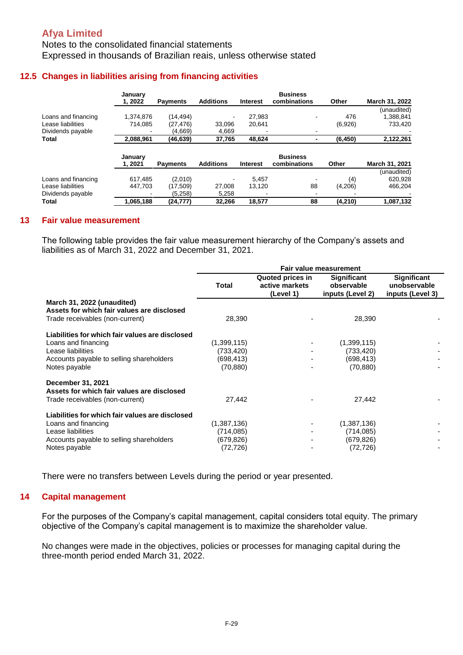Notes to the consolidated financial statements Expressed in thousands of Brazilian reais, unless otherwise stated

### **12.5 Changes in liabilities arising from financing activities**

|                     | January<br>1.2022  | <b>Payments</b> | <b>Additions</b> | <b>Interest</b> | <b>Business</b><br>combinations | Other    | March 31, 2022 |
|---------------------|--------------------|-----------------|------------------|-----------------|---------------------------------|----------|----------------|
|                     |                    |                 |                  |                 |                                 |          | (unaudited)    |
| Loans and financing | 1.374.876          | (14, 494)       |                  | 27.983          |                                 | 476      | 1,388,841      |
| Lease liabilities   | 714.085            | (27, 476)       | 33.096           | 20.641          |                                 | (6,926)  | 733,420        |
| Dividends payable   |                    | (4,669)         | 4,669            |                 |                                 |          |                |
| Total               | 2,088,961          | (46, 639)       | 37,765           | 48.624          |                                 | (6, 450) | 2,122,261      |
|                     | January<br>1, 2021 |                 |                  |                 | <b>Business</b>                 |          |                |
|                     |                    | <b>Payments</b> | <b>Additions</b> | <b>Interest</b> | combinations                    | Other    | March 31, 2021 |
|                     |                    |                 |                  |                 |                                 |          | (unaudited)    |
| Loans and financing | 617.485            | (2,010)         |                  | 5.457           |                                 | (4)      | 620,928        |
| Lease liabilities   | 447.703            | (17,509)        | 27,008           | 13.120          | 88                              | (4,206)  | 466,204        |
| Dividends payable   | $\blacksquare$     | (5.258)         | 5,258            |                 |                                 |          |                |

#### **13 Fair value measurement**

The following table provides the fair value measurement hierarchy of the Company's assets and liabilities as of March 31, 2022 and December 31, 2021.

|                                                                                                                                                          | <b>Fair value measurement</b>                       |                                                 |                                                      |                                                 |
|----------------------------------------------------------------------------------------------------------------------------------------------------------|-----------------------------------------------------|-------------------------------------------------|------------------------------------------------------|-------------------------------------------------|
|                                                                                                                                                          | <b>Total</b>                                        | Quoted prices in<br>active markets<br>(Level 1) | Significant<br>observable<br>inputs (Level 2)        | Significant<br>unobservable<br>inputs (Level 3) |
| March 31, 2022 (unaudited)<br>Assets for which fair values are disclosed<br>Trade receivables (non-current)                                              | 28,390                                              |                                                 | 28,390                                               |                                                 |
| Liabilities for which fair values are disclosed<br>Loans and financing<br>Lease liabilities<br>Accounts payable to selling shareholders<br>Notes payable | (1,399,115)<br>(733,420)<br>(698, 413)<br>(70, 880) |                                                 | (1,399,115)<br>(733, 420)<br>(698, 413)<br>(70, 880) |                                                 |
| December 31, 2021<br>Assets for which fair values are disclosed<br>Trade receivables (non-current)                                                       | 27,442                                              |                                                 | 27,442                                               |                                                 |
| Liabilities for which fair values are disclosed<br>Loans and financing<br>Lease liabilities<br>Accounts payable to selling shareholders<br>Notes payable | (1,387,136)<br>(714,085)<br>(679,826)<br>(72, 726)  |                                                 | (1,387,136)<br>(714, 085)<br>(679, 826)<br>(72, 726) |                                                 |

There were no transfers between Levels during the period or year presented.

#### **14 Capital management**

For the purposes of the Company's capital management, capital considers total equity. The primary objective of the Company's capital management is to maximize the shareholder value.

No changes were made in the objectives, policies or processes for managing capital during the three-month period ended March 31, 2022.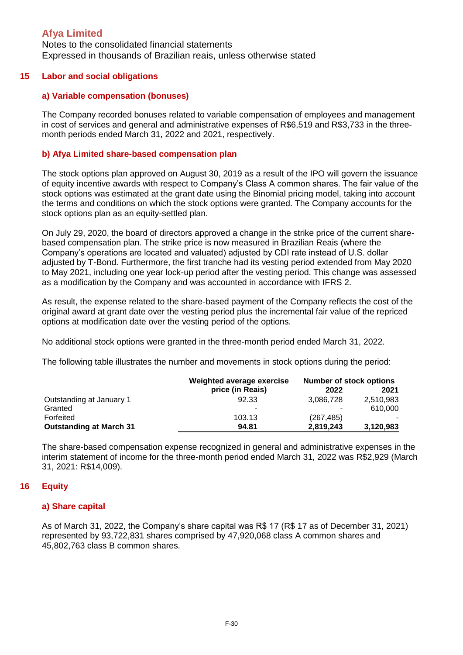Notes to the consolidated financial statements Expressed in thousands of Brazilian reais, unless otherwise stated

#### **15 Labor and social obligations**

#### **a) Variable compensation (bonuses)**

The Company recorded bonuses related to variable compensation of employees and management in cost of services and general and administrative expenses of R\$6,519 and R\$3,733 in the threemonth periods ended March 31, 2022 and 2021, respectively.

#### **b) Afya Limited share-based compensation plan**

The stock options plan approved on August 30, 2019 as a result of the IPO will govern the issuance of equity incentive awards with respect to Company's Class A common shares. The fair value of the stock options was estimated at the grant date using the Binomial pricing model, taking into account the terms and conditions on which the stock options were granted. The Company accounts for the stock options plan as an equity-settled plan.

On July 29, 2020, the board of directors approved a change in the strike price of the current sharebased compensation plan. The strike price is now measured in Brazilian Reais (where the Company's operations are located and valuated) adjusted by CDI rate instead of U.S. dollar adjusted by T-Bond. Furthermore, the first tranche had its vesting period extended from May 2020 to May 2021, including one year lock-up period after the vesting period. This change was assessed as a modification by the Company and was accounted in accordance with IFRS 2.

As result, the expense related to the share-based payment of the Company reflects the cost of the original award at grant date over the vesting period plus the incremental fair value of the repriced options at modification date over the vesting period of the options.

No additional stock options were granted in the three-month period ended March 31, 2022.

The following table illustrates the number and movements in stock options during the period:

|                                | Weighted average exercise | <b>Number of stock options</b> |           |  |
|--------------------------------|---------------------------|--------------------------------|-----------|--|
|                                | price (in Reais)          | 2022                           | 2021      |  |
| Outstanding at January 1       | 92.33                     | 3,086,728                      | 2,510,983 |  |
| Granted                        | ۰                         | ۰                              | 610,000   |  |
| Forfeited                      | 103.13                    | (267, 485)                     | ٠         |  |
| <b>Outstanding at March 31</b> | 94.81                     | 2,819,243                      | 3,120,983 |  |

The share-based compensation expense recognized in general and administrative expenses in the interim statement of income for the three-month period ended March 31, 2022 was R\$2,929 (March 31, 2021: R\$14,009).

#### **16 Equity**

#### **a) Share capital**

As of March 31, 2022, the Company's share capital was R\$ 17 (R\$ 17 as of December 31, 2021) represented by 93,722,831 shares comprised by 47,920,068 class A common shares and 45,802,763 class B common shares.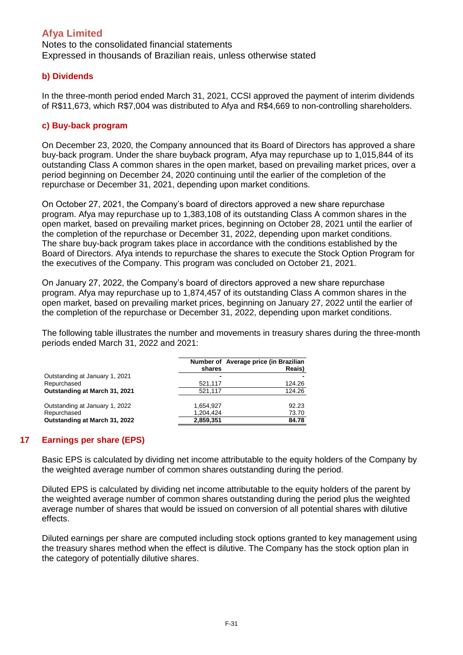Notes to the consolidated financial statements Expressed in thousands of Brazilian reais, unless otherwise stated

#### **b) Dividends**

In the three-month period ended March 31, 2021, CCSI approved the payment of interim dividends of R\$11,673, which R\$7,004 was distributed to Afya and R\$4,669 to non-controlling shareholders.

### **c) Buy-back program**

On December 23, 2020, the Company announced that its Board of Directors has approved a share buy-back program. Under the share buyback program, Afya may repurchase up to 1,015,844 of its outstanding Class A common shares in the open market, based on prevailing market prices, over a period beginning on December 24, 2020 continuing until the earlier of the completion of the repurchase or December 31, 2021, depending upon market conditions.

On October 27, 2021, the Company's board of directors approved a new share repurchase program. Afya may repurchase up to 1,383,108 of its outstanding Class A common shares in the open market, based on prevailing market prices, beginning on October 28, 2021 until the earlier of the completion of the repurchase or December 31, 2022, depending upon market conditions. The share buy-back program takes place in accordance with the conditions established by the Board of Directors. Afya intends to repurchase the shares to execute the Stock Option Program for the executives of the Company. This program was concluded on October 21, 2021.

On January 27, 2022, the Company's board of directors approved a new share repurchase program. Afya may repurchase up to 1,874,457 of its outstanding Class A common shares in the open market, based on prevailing market prices, beginning on January 27, 2022 until the earlier of the completion of the repurchase or December 31, 2022, depending upon market conditions.

The following table illustrates the number and movements in treasury shares during the three-month periods ended March 31, 2022 and 2021:

|                                      | shares    | Number of Average price (in Brazilian<br>Reais) |
|--------------------------------------|-----------|-------------------------------------------------|
| Outstanding at January 1, 2021       | -         |                                                 |
| Repurchased                          | 521,117   | 124.26                                          |
| <b>Outstanding at March 31, 2021</b> | 521,117   | 124.26                                          |
| Outstanding at January 1, 2022       | 1,654,927 | 92.23                                           |
| Repurchased                          | 1,204,424 | 73.70                                           |
| Outstanding at March 31, 2022        | 2,859,351 | 84.78                                           |

### **17 Earnings per share (EPS)**

Basic EPS is calculated by dividing net income attributable to the equity holders of the Company by the weighted average number of common shares outstanding during the period.

Diluted EPS is calculated by dividing net income attributable to the equity holders of the parent by the weighted average number of common shares outstanding during the period plus the weighted average number of shares that would be issued on conversion of all potential shares with dilutive effects.

Diluted earnings per share are computed including stock options granted to key management using the treasury shares method when the effect is dilutive. The Company has the stock option plan in the category of potentially dilutive shares.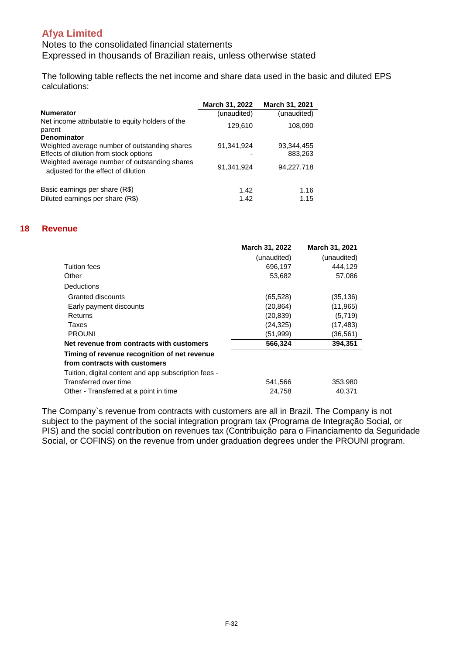Notes to the consolidated financial statements Expressed in thousands of Brazilian reais, unless otherwise stated

The following table reflects the net income and share data used in the basic and diluted EPS calculations:

|                                                                                         | March 31, 2022 | <b>March 31, 2021</b> |
|-----------------------------------------------------------------------------------------|----------------|-----------------------|
| <b>Numerator</b>                                                                        | (unaudited)    | (unaudited)           |
| Net income attributable to equity holders of the<br>parent                              | 129,610        | 108,090               |
| <b>Denominator</b>                                                                      |                |                       |
| Weighted average number of outstanding shares<br>Effects of dilution from stock options | 91,341,924     | 93,344,455<br>883,263 |
| Weighted average number of outstanding shares<br>adjusted for the effect of dilution    | 91.341.924     | 94,227,718            |
| Basic earnings per share (R\$)<br>Diluted earnings per share (R\$)                      | 1.42<br>1.42   | 1.16<br>1.15          |
|                                                                                         |                |                       |

#### **18 Revenue**

|                                                      | March 31, 2022 | March 31, 2021 |
|------------------------------------------------------|----------------|----------------|
|                                                      | (unaudited)    | (unaudited)    |
| Tuition fees                                         | 696,197        | 444.129        |
| Other                                                | 53,682         | 57,086         |
| <b>Deductions</b>                                    |                |                |
| Granted discounts                                    | (65, 528)      | (35,136)       |
| Early payment discounts                              | (20, 864)      | (11, 965)      |
| Returns                                              | (20, 839)      | (5,719)        |
| Taxes                                                | (24, 325)      | (17, 483)      |
| <b>PROUNI</b>                                        | (51, 999)      | (36, 561)      |
| Net revenue from contracts with customers            | 566,324        | 394,351        |
| Timing of revenue recognition of net revenue         |                |                |
| from contracts with customers                        |                |                |
| Tuition, digital content and app subscription fees - |                |                |
| Transferred over time                                | 541,566        | 353,980        |
| Other - Transferred at a point in time               | 24,758         | 40,371         |

The Company`s revenue from contracts with customers are all in Brazil. The Company is not subject to the payment of the social integration program tax (Programa de Integração Social, or PIS) and the social contribution on revenues tax (Contribuição para o Financiamento da Seguridade Social, or COFINS) on the revenue from under graduation degrees under the PROUNI program.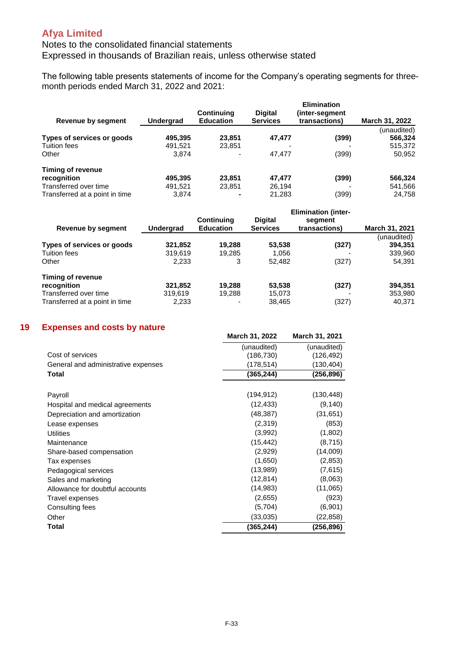### Notes to the consolidated financial statements Expressed in thousands of Brazilian reais, unless otherwise stated

The following table presents statements of income for the Company's operating segments for threemonth periods ended March 31, 2022 and 2021:

| Revenue by segment             | <b>Undergrad</b> | <b>Continuing</b><br><b>Education</b> | <b>Digital</b><br><b>Services</b> | <b>Elimination</b><br>(inter-segment<br>transactions) | March 31, 2022 |
|--------------------------------|------------------|---------------------------------------|-----------------------------------|-------------------------------------------------------|----------------|
|                                |                  |                                       |                                   |                                                       | (unaudited)    |
| Types of services or goods     | 495.395          | 23.851                                | 47,477                            | (399)                                                 | 566,324        |
| <b>Tuition fees</b>            | 491.521          | 23,851                                |                                   |                                                       | 515,372        |
| Other                          | 3.874            |                                       | 47.477                            | (399)                                                 | 50,952         |
| Timing of revenue              |                  |                                       |                                   |                                                       |                |
| recognition                    | 495.395          | 23.851                                | 47.477                            | (399)                                                 | 566,324        |
| Transferred over time          | 491.521          | 23.851                                | 26,194                            |                                                       | 541,566        |
| Transferred at a point in time | 3.874            |                                       | 21.283                            | (399)                                                 | 24.758         |

|                                |           | <b>Elimination (inter-</b> |                 |               |                |
|--------------------------------|-----------|----------------------------|-----------------|---------------|----------------|
|                                |           | <b>Continuing</b>          | <b>Digital</b>  | segment       |                |
| Revenue by segment             | Undergrad | <b>Education</b>           | <b>Services</b> | transactions) | March 31, 2021 |
|                                |           |                            |                 |               | (unaudited)    |
| Types of services or goods     | 321,852   | 19.288                     | 53,538          | (327)         | 394.351        |
| <b>Tuition fees</b>            | 319.619   | 19.285                     | 1,056           |               | 339,960        |
| Other                          | 2,233     | 3                          | 52,482          | (327)         | 54,391         |
| Timing of revenue              |           |                            |                 |               |                |
| recognition                    | 321,852   | 19.288                     | 53,538          | (327)         | 394,351        |
| Transferred over time          | 319.619   | 19.288                     | 15,073          |               | 353,980        |
| Transferred at a point in time | 2,233     |                            | 38.465          | (327)         | 40.371         |

#### **19 Expenses and costs by nature**

|                                     | March 31, 2022 | March 31, 2021 |
|-------------------------------------|----------------|----------------|
|                                     | (unaudited)    | (unaudited)    |
| Cost of services                    | (186, 730)     | (126, 492)     |
| General and administrative expenses | (178,514)      | (130,404)      |
| Total                               | (365, 244)     | (256, 896)     |
|                                     |                |                |
| Payroll                             | (194, 912)     | (130, 448)     |
| Hospital and medical agreements     | (12, 433)      | (9, 140)       |
| Depreciation and amortization       | (48, 387)      | (31, 651)      |
| Lease expenses                      | (2,319)        | (853)          |
| <b>Utilities</b>                    | (3,992)        | (1,802)        |
| Maintenance                         | (15, 442)      | (8,715)        |
| Share-based compensation            | (2,929)        | (14,009)       |
| Tax expenses                        | (1,650)        | (2, 853)       |
| Pedagogical services                | (13,989)       | (7,615)        |
| Sales and marketing                 | (12,814)       | (8,063)        |
| Allowance for doubtful accounts     | (14,983)       | (11,065)       |
| Travel expenses                     | (2,655)        | (923)          |
| Consulting fees                     | (5,704)        | (6,901)        |
| Other                               | (33,035)       | (22,858)       |
| Total                               | (365,244)      | (256,896)      |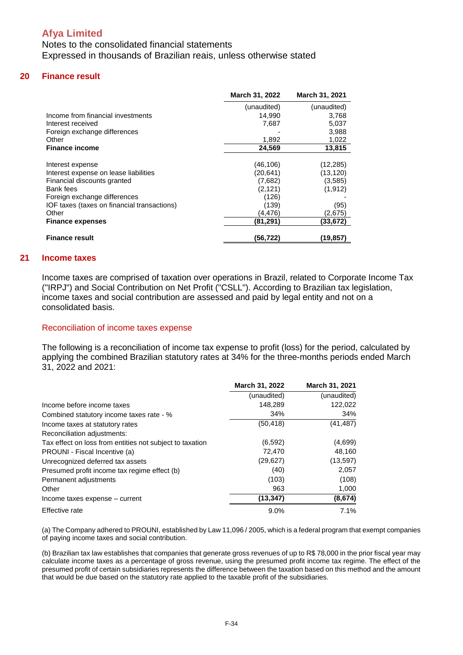Notes to the consolidated financial statements Expressed in thousands of Brazilian reais, unless otherwise stated

#### **20 Finance result**

|                                             | March 31, 2022 | March 31, 2021 |
|---------------------------------------------|----------------|----------------|
|                                             | (unaudited)    | (unaudited)    |
| Income from financial investments           | 14,990         | 3,768          |
| Interest received                           | 7,687          | 5,037          |
| Foreign exchange differences                |                | 3,988          |
| Other                                       | 1,892          | 1,022          |
| <b>Finance income</b>                       | 24,569         | 13,815         |
|                                             |                |                |
| Interest expense                            | (46, 106)      | (12, 285)      |
| Interest expense on lease liabilities       | (20, 641)      | (13, 120)      |
| Financial discounts granted                 | (7,682)        | (3,585)        |
| Bank fees                                   | (2, 121)       | (1, 912)       |
| Foreign exchange differences                | (126)          |                |
| IOF taxes (taxes on financial transactions) | (139)          | (95)           |
| Other                                       | (4,476)        | (2,675)        |
| <b>Finance expenses</b>                     | (81,291)       | (33,672)       |
| <b>Finance result</b>                       | (56,722)       | (19,857)       |

#### **21 Income taxes**

Income taxes are comprised of taxation over operations in Brazil, related to Corporate Income Tax ("IRPJ") and Social Contribution on Net Profit ("CSLL"). According to Brazilian tax legislation, income taxes and social contribution are assessed and paid by legal entity and not on a consolidated basis.

#### Reconciliation of income taxes expense

The following is a reconciliation of income tax expense to profit (loss) for the period, calculated by applying the combined Brazilian statutory rates at 34% for the three-months periods ended March 31, 2022 and 2021:

|                                                          | March 31, 2022 | March 31, 2021 |
|----------------------------------------------------------|----------------|----------------|
|                                                          | (unaudited)    | (unaudited)    |
| Income before income taxes                               | 148,289        | 122,022        |
| Combined statutory income taxes rate - %                 | 34%            | 34%            |
| Income taxes at statutory rates                          | (50, 418)      | (41, 487)      |
| Reconciliation adjustments:                              |                |                |
| Tax effect on loss from entities not subject to taxation | (6, 592)       | (4,699)        |
| PROUNI - Fiscal Incentive (a)                            | 72,470         | 48,160         |
| Unrecognized deferred tax assets                         | (29, 627)      | (13, 597)      |
| Presumed profit income tax regime effect (b)             | (40)           | 2,057          |
| Permanent adjustments                                    | (103)          | (108)          |
| Other                                                    | 963            | 1,000          |
| Income taxes expense – current                           | (13, 347)      | (8,674)        |
| <b>Effective rate</b>                                    | $9.0\%$        | 7.1%           |

(a) The Company adhered to PROUNI, established by Law 11,096 / 2005, which is a federal program that exempt companies of paying income taxes and social contribution.

(b) Brazilian tax law establishes that companies that generate gross revenues of up to R\$ 78,000 in the prior fiscal year may calculate income taxes as a percentage of gross revenue, using the presumed profit income tax regime. The effect of the presumed profit of certain subsidiaries represents the difference between the taxation based on this method and the amount that would be due based on the statutory rate applied to the taxable profit of the subsidiaries.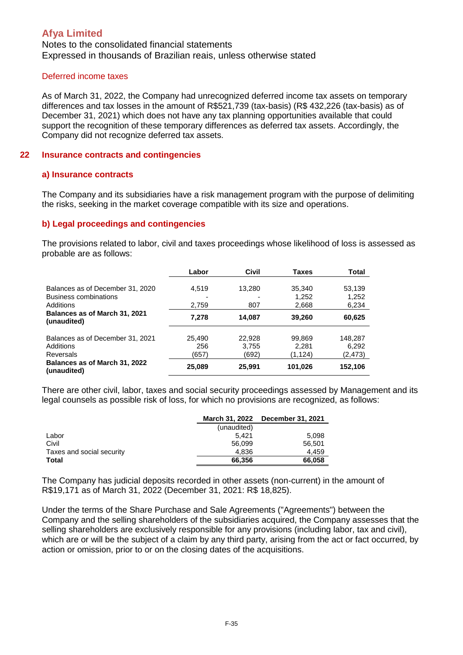Notes to the consolidated financial statements Expressed in thousands of Brazilian reais, unless otherwise stated

#### Deferred income taxes

As of March 31, 2022, the Company had unrecognized deferred income tax assets on temporary differences and tax losses in the amount of R\$521,739 (tax-basis) (R\$ 432,226 (tax-basis) as of December 31, 2021) which does not have any tax planning opportunities available that could support the recognition of these temporary differences as deferred tax assets. Accordingly, the Company did not recognize deferred tax assets.

#### **22 Insurance contracts and contingencies**

#### **a) Insurance contracts**

The Company and its subsidiaries have a risk management program with the purpose of delimiting the risks, seeking in the market coverage compatible with its size and operations.

#### **b) Legal proceedings and contingencies**

The provisions related to labor, civil and taxes proceedings whose likelihood of loss is assessed as probable are as follows:

|                                                                        | Labor                  | Civil                    | <b>Taxes</b>               | Total                       |
|------------------------------------------------------------------------|------------------------|--------------------------|----------------------------|-----------------------------|
| Balances as of December 31, 2020<br>Business combinations<br>Additions | 4.519<br>2,759         | 13.280<br>807            | 35,340<br>1,252<br>2,668   | 53,139<br>1,252<br>6,234    |
| Balances as of March 31, 2021<br>(unaudited)                           | 7,278                  | 14,087                   | 39,260                     | 60,625                      |
| Balances as of December 31, 2021<br>Additions<br>Reversals             | 25.490<br>256<br>(657) | 22.928<br>3,755<br>(692) | 99.869<br>2,281<br>(1,124) | 148.287<br>6,292<br>(2,473) |
| Balances as of March 31, 2022<br>(unaudited)                           | 25,089                 | 25,991                   | 101,026                    | 152,106                     |

There are other civil, labor, taxes and social security proceedings assessed by Management and its legal counsels as possible risk of loss, for which no provisions are recognized, as follows:

|                           | March 31, 2022 | <b>December 31, 2021</b> |
|---------------------------|----------------|--------------------------|
|                           | (unaudited)    |                          |
| Labor                     | 5.421          | 5.098                    |
| Civil                     | 56,099         | 56,501                   |
| Taxes and social security | 4.836          | 4.459                    |
| Total                     | 66.356         | 66.058                   |

The Company has judicial deposits recorded in other assets (non-current) in the amount of R\$19,171 as of March 31, 2022 (December 31, 2021: R\$ 18,825).

Under the terms of the Share Purchase and Sale Agreements ("Agreements") between the Company and the selling shareholders of the subsidiaries acquired, the Company assesses that the selling shareholders are exclusively responsible for any provisions (including labor, tax and civil), which are or will be the subject of a claim by any third party, arising from the act or fact occurred, by action or omission, prior to or on the closing dates of the acquisitions.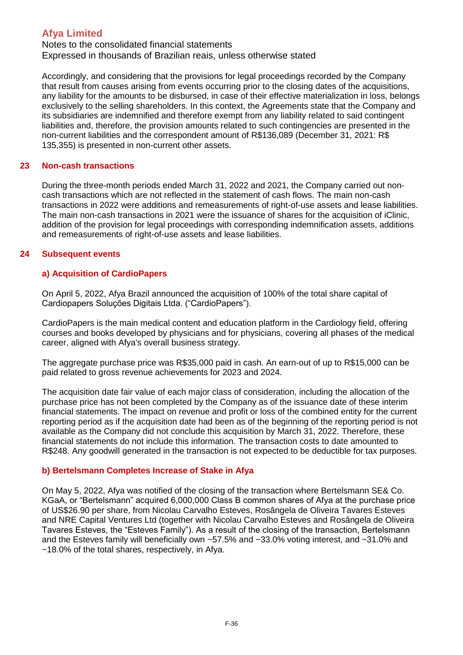Notes to the consolidated financial statements Expressed in thousands of Brazilian reais, unless otherwise stated

Accordingly, and considering that the provisions for legal proceedings recorded by the Company that result from causes arising from events occurring prior to the closing dates of the acquisitions, any liability for the amounts to be disbursed, in case of their effective materialization in loss, belongs exclusively to the selling shareholders. In this context, the Agreements state that the Company and its subsidiaries are indemnified and therefore exempt from any liability related to said contingent liabilities and, therefore, the provision amounts related to such contingencies are presented in the non-current liabilities and the correspondent amount of R\$136,089 (December 31, 2021: R\$ 135,355) is presented in non-current other assets.

### **23 Non-cash transactions**

During the three-month periods ended March 31, 2022 and 2021, the Company carried out noncash transactions which are not reflected in the statement of cash flows. The main non-cash transactions in 2022 were additions and remeasurements of right-of-use assets and lease liabilities. The main non-cash transactions in 2021 were the issuance of shares for the acquisition of iClinic, addition of the provision for legal proceedings with corresponding indemnification assets, additions and remeasurements of right-of-use assets and lease liabilities.

### **24 Subsequent events**

### **a) Acquisition of CardioPapers**

On April 5, 2022, Afya Brazil announced the acquisition of 100% of the total share capital of Cardiopapers Soluções Digitais Ltda. ("CardioPapers").

CardioPapers is the main medical content and education platform in the Cardiology field, offering courses and books developed by physicians and for physicians, covering all phases of the medical career, aligned with Afya's overall business strategy.

The aggregate purchase price was R\$35,000 paid in cash. An earn-out of up to R\$15,000 can be paid related to gross revenue achievements for 2023 and 2024.

The acquisition date fair value of each major class of consideration, including the allocation of the purchase price has not been completed by the Company as of the issuance date of these interim financial statements. The impact on revenue and profit or loss of the combined entity for the current reporting period as if the acquisition date had been as of the beginning of the reporting period is not available as the Company did not conclude this acquisition by March 31, 2022. Therefore, these financial statements do not include this information. The transaction costs to date amounted to R\$248. Any goodwill generated in the transaction is not expected to be deductible for tax purposes.

#### **b) Bertelsmann Completes Increase of Stake in Afya**

On May 5, 2022, Afya was notified of the closing of the transaction where Bertelsmann SE& Co. KGaA, or "Bertelsmann" acquired 6,000,000 Class B common shares of Afya at the purchase price of US\$26.90 per share, from Nicolau Carvalho Esteves, Rosângela de Oliveira Tavares Esteves and NRE Capital Ventures Ltd (together with Nicolau Carvalho Esteves and Rosângela de Oliveira Tavares Esteves, the "Esteves Family"). As a result of the closing of the transaction, Bertelsmann and the Esteves family will beneficially own ~57.5% and ~33.0% voting interest, and ~31.0% and ~18.0% of the total shares, respectively, in Afya.